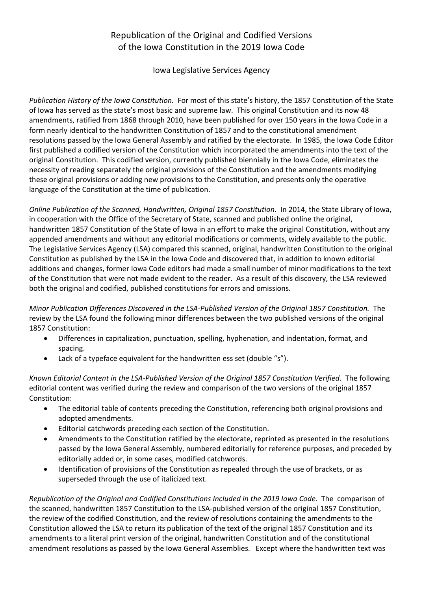# Republication of the Original and Codified Versions of the Iowa Constitution in the 2019 Iowa Code

Iowa Legislative Services Agency

*Publication History of the Iowa Constitution.* For most of this state's history, the 1857 Constitution of the State of Iowa has served as the state's most basic and supreme law. This original Constitution and its now 48 amendments, ratified from 1868 through 2010, have been published for over 150 years in the Iowa Code in a form nearly identical to the handwritten Constitution of 1857 and to the constitutional amendment resolutions passed by the Iowa General Assembly and ratified by the electorate. In 1985, the Iowa Code Editor first published a codified version of the Constitution which incorporated the amendments into the text of the original Constitution. This codified version, currently published biennially in the Iowa Code, eliminates the necessity of reading separately the original provisions of the Constitution and the amendments modifying these original provisions or adding new provisions to the Constitution, and presents only the operative language of the Constitution at the time of publication.

*Online Publication of the Scanned, Handwritten, Original 1857 Constitution.* In 2014, the State Library of Iowa, in cooperation with the Office of the Secretary of State, scanned and published online the original, handwritten 1857 Constitution of the State of Iowa in an effort to make the original Constitution, without any appended amendments and without any editorial modifications or comments, widely available to the public. The Legislative Services Agency (LSA) compared this scanned, original, handwritten Constitution to the original Constitution as published by the LSA in the Iowa Code and discovered that, in addition to known editorial additions and changes, former Iowa Code editors had made a small number of minor modifications to the text of the Constitution that were not made evident to the reader. As a result of this discovery, the LSA reviewed both the original and codified, published constitutions for errors and omissions.

*Minor Publication Differences Discovered in the LSA-Published Version of the Original 1857 Constitution.* The review by the LSA found the following minor differences between the two published versions of the original 1857 Constitution:

- Differences in capitalization, punctuation, spelling, hyphenation, and indentation, format, and spacing.
- Lack of a typeface equivalent for the handwritten ess set (double "s").

Known Editorial Content in the LSA-Published Version of the Original 1857 Constitution Verified. The following editorial content was verified during the review and comparison of the two versions of the original 1857 Constitution:

- The editorial table of contents preceding the Constitution, referencing both original provisions and adopted amendments.
- Editorial catchwords preceding each section of the Constitution.
- Amendments to the Constitution ratified by the electorate, reprinted as presented in the resolutions passed by the Iowa General Assembly, numbered editorially for reference purposes, and preceded by editorially added or, in some cases, modified catchwords.
- Identification of provisions of the Constitution as repealed through the use of brackets, or as superseded through the use of italicized text.

*Republication of the Original and Codified Constitutions Included in the 2019 Iowa Code.* The comparison of the scanned, handwritten 1857 Constitution to the LSA-published version of the original 1857 Constitution, the review of the codified Constitution, and the review of resolutions containing the amendments to the Constitution allowed the LSA to return its publication of the text of the original 1857 Constitution and its amendments to a literal print version of the original, handwritten Constitution and of the constitutional amendment resolutions as passed by the Iowa General Assemblies. Except where the handwritten text was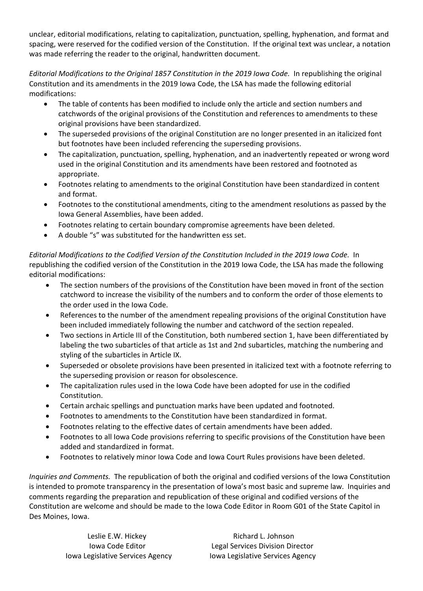unclear, editorial modifications, relating to capitalization, punctuation, spelling, hyphenation, and format and spacing, were reserved for the codified version of the Constitution. If the original text was unclear, a notation was made referring the reader to the original, handwritten document.

*Editorial Modifications to the Original 1857 Constitution in the 2019 Iowa Code.* In republishing the original Constitution and its amendments in the 2019 Iowa Code, the LSA has made the following editorial modifications:

- The table of contents has been modified to include only the article and section numbers and catchwords of the original provisions of the Constitution and references to amendments to these original provisions have been standardized.
- The superseded provisions of the original Constitution are no longer presented in an italicized font but footnotes have been included referencing the superseding provisions.
- The capitalization, punctuation, spelling, hyphenation, and an inadvertently repeated or wrong word used in the original Constitution and its amendments have been restored and footnoted as appropriate.
- Footnotes relating to amendments to the original Constitution have been standardized in content and format.
- Footnotes to the constitutional amendments, citing to the amendment resolutions as passed by the Iowa General Assemblies, have been added.
- Footnotes relating to certain boundary compromise agreements have been deleted.
- A double "s" was substituted for the handwritten ess set.

*Editorial Modifications to the Codified Version of the Constitution Included in the 2019 Iowa Code.* In republishing the codified version of the Constitution in the 2019 Iowa Code, the LSA has made the following editorial modifications:

- The section numbers of the provisions of the Constitution have been moved in front of the section catchword to increase the visibility of the numbers and to conform the order of those elements to the order used in the Iowa Code.
- References to the number of the amendment repealing provisions of the original Constitution have been included immediately following the number and catchword of the section repealed.
- Two sections in Article III of the Constitution, both numbered section 1, have been differentiated by labeling the two subarticles of that article as 1st and 2nd subarticles, matching the numbering and styling of the subarticles in Article IX.
- Superseded or obsolete provisions have been presented in italicized text with a footnote referring to the superseding provision or reason for obsolescence.
- The capitalization rules used in the Iowa Code have been adopted for use in the codified Constitution.
- Certain archaic spellings and punctuation marks have been updated and footnoted.
- Footnotes to amendments to the Constitution have been standardized in format.
- Footnotes relating to the effective dates of certain amendments have been added.
- Footnotes to all Iowa Code provisions referring to specific provisions of the Constitution have been added and standardized in format.
- Footnotes to relatively minor Iowa Code and Iowa Court Rules provisions have been deleted.

*Inquiries and Comments.* The republication of both the original and codified versions of the Iowa Constitution is intended to promote transparency in the presentation of Iowa's most basic and supreme law. Inquiries and comments regarding the preparation and republication of these original and codified versions of the Constitution are welcome and should be made to the Iowa Code Editor in Room G01 of the State Capitol in Des Moines, Iowa.

Leslie E.W. Hickey **Richard L. Johnson** Iowa Code Editor Legal Services Division Director Iowa Legislative Services Agency Iowa Legislative Services Agency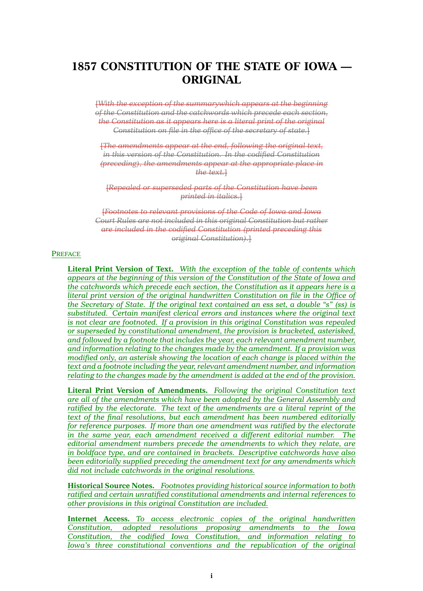# **1857 CONSTITUTION OF THE STATE OF IOWA — ORIGINAL**

[*With the exception of the summarywhich appears at the beginning of the Constitution and the catchwords which precede each section, the Constitution as it appears here is <sup>a</sup> literal print of the original Constitution on file in the office of the secretary of state.*]

[*The amendments appear at the end, following the original text, in this version of the Constitution. In the codified Constitution (preceding), the amendments appear at the appropriate place in the text.*]

[*Repealed or superseded parts of the Constitution have been printed in italics.*]

[*Footnotes to relevant provisions of the Code of Iowa and Iowa Court Rules are not included in this original Constitution but rather are included in the codified Constitution (printed preceding this original Constitution).*]

### **PREFACE**

**Literal Print Version of Text.** *With the exception of the table of contents which appears at the beginning of this version of the Constitution of the State of Iowa and the catchwords which precede each section, the Constitution as it appears here is <sup>a</sup> literal print version of the original handwritten Constitution on file in the Office of the Secretary of State. If the original text contained an ess set, <sup>a</sup> double "s" (ss) is substituted. Certain manifest clerical errors and instances where the original text is not clear are footnoted. If <sup>a</sup> provision in this original Constitution was repealed or superseded by constitutional amendment, the provision is bracketed, asterisked, and followed by <sup>a</sup> footnote that includes the year, each relevant amendment number, and information relating to the changes made by the amendment. If <sup>a</sup> provision was modified only, an asterisk showing the location of each change is placed within the text and <sup>a</sup> footnote including the year, relevant amendment number, and information relating to the changes made by the amendment is added at the end of the provision.*

**Literal Print Version of Amendments.** *Following the original Constitution text are all of the amendments which have been adopted by the General Assembly and ratified by the electorate. The text of the amendments are <sup>a</sup> literal reprint of the text of the final resolutions, but each amendment has been numbered editorially for reference purposes. If more than one amendment was ratified by the electorate in the same year, each amendment received <sup>a</sup> different editorial number. The editorial amendment numbers precede the amendments to which they relate, are in boldface type, and are contained in brackets. Descriptive catchwords have also been editorially supplied preceding the amendment text for any amendments which did not include catchwords in the original resolutions.*

**Historical Source Notes.** *Footnotes providing historical source information to both ratified and certain unratified constitutional amendments and internal references to other provisions in this original Constitution are included.*

**Internet Access.** *To access electronic copies of the original handwritten Constitution, adopted resolutions proposing amendments to the Iowa Constitution, the codified Iowa Constitution, and information relating to Iowa's three constitutional conventions and the republication of the original*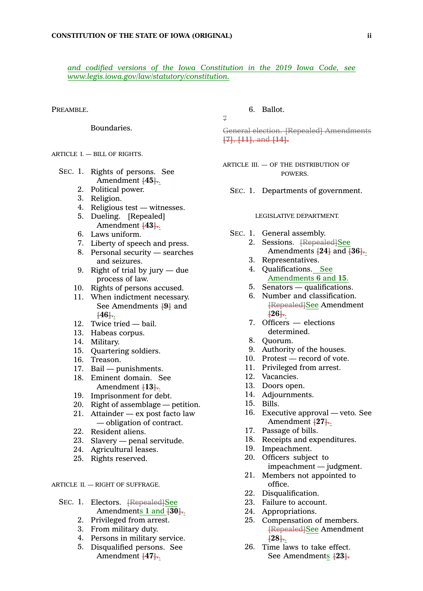*and codified versions of the Iowa Constitution in the 2019 Iowa Code, see <www.legis.iowa.gov/law/statutory/constitution>.*

7

PREAMBLE.

Boundaries.

ARTICLE I. — BILL OF RIGHTS.

- SEC. 1. Rights of persons. See Amendment **[45].**.
	- 2. Political power.
	- 3. Religion.
	- 4. Religious test witnesses.
	- 5. Dueling. [Repealed] Amendment **[43].**.
	- 6. Laws uniform.
	- 7. Liberty of speech and press.
	- 8. Personal security searches and seizures.
	- 9. Right of trial by jury due process of law.
	- 10. Rights of persons accused.
	- 11. When indictment necessary. See Amendments **[9]** and **[46].**.
	- 12. Twice tried bail.
	- 13. Habeas corpus.
	- 14. Military.
	- 15. Quartering soldiers.
	- 16. Treason.
	- 17. Bail punishments.
	- 18. Eminent domain. See Amendment **[13].**.
	- 19. Imprisonment for debt.
	- 20. Right of assemblage petition.
	- 21. Attainder ex post facto law — obligation of contract.
	- 22. Resident aliens.
	- 23. Slavery penal servitude.
	- 24. Agricultural leases.
	- 25. Rights reserved.

ARTICLE II. — RIGHT OF SUFFRAGE.

- SEC. 1. Electors. <del>[Repealed]</del>See Amendments **1** and **[30].**.
	- 2. Privileged from arrest.
	- 3. From military duty.
	- 4. Persons in military service.
	- 5. Disqualified persons. See Amendment **[47].**.

6. Ballot.

General election. [Repealed] Amendments **[7]**, **[11]**, and **[14].**

ARTICLE III.  $-$  OF THE DISTRIBUTION OF **POWERS** 

SEC. 1. Departments of government.

#### LEGISLATIVE DEPARTMENT.

- SEC. 1. General assembly.
	- 2. Sessions. **[Repealed]See** Amendments **[24]** and **[36].**.
	- 3. Representatives.
	- 4. Qualifications. See Amendments **6** and **15**.
	- 5. Senators qualifications.
	- 6. Number and classification. [Repealed]See Amendment **[26].**.
	- 7. Officers elections determined.
	- 8. Quorum.
	- 9. Authority of the houses.
	- 10. Protest record of vote.
	- 11. Privileged from arrest.
	- 12. Vacancies.
	- 13. Doors open.
	- 14. Adjournments.
	- 15. Bills.
	- 16. Executive approval veto. See Amendment **[27].**.
	- 17. Passage of bills.
	- 18. Receipts and expenditures.
	- 19. Impeachment.
	- 20. Officers subject to impeachment — judgment.
	- 21. Members not appointed to office.
	- 22. Disqualification.
	- 23. Failure to account.
	- 24. Appropriations.
	- 25. Compensation of members. [Repealed]See Amendment **[28].**.
	- 26. Time laws to take effect. See Amendments **[23].**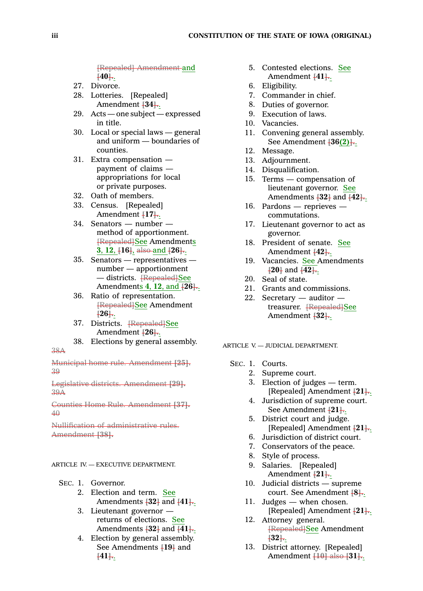[Repealed] Amendment and **[40].**.

- 27. Divorce.
- 28. Lotteries. [Repealed] Amendment **[34].**.
- 29. Acts one subject expressed in title.
- 30. Local or special laws general and uniform — boundaries of counties.
- 31. Extra compensation payment of claims appropriations for local or private purposes.
- 32. Oath of members.
- 33. Census. [Repealed] Amendment **[17].**.
- 34. Senators number method of apportionment. [Repealed]See Amendments **3**, **12**, **[16]**, also and **[26].**.
- 35. Senators representatives number — apportionment — districts. <del>[Repealed]See</del> Amendments **4**, **12**, and **[26].**.
- 36. Ratio of representation. [Repealed]See Amendment **[26].**.
- 37. Districts. [Repealed]See Amendment **[26].**.
- 38. Elections by general assembly.

Municipal home rule. Amendment **[25].** 39

Legislative districts. Amendment **[29].** 39A

Counties Home Rule. Amendment **[37].** 40

Nullification of administrative rules. Amendment **[38].**

### ARTICLE IV. —EXECUTIVE DEPARTMENT.

SEC. 1. Governor.

38A

- 2. Election and term. See Amendments **[32]** and **[41].**.
- 3. Lieutenant governor returns of elections. See Amendments **[32]** and **[41].**.
- 4. Election by general assembly. See Amendments **[19]** and **[41].**.
- 5. Contested elections. See Amendment **[41].**.
- 6. Eligibility.
- 7. Commander in chief.
- 8. Duties of governor.
- 9. Execution of laws.
- 10. Vacancies.
- 11. Convening general assembly. See Amendment **[36(2)].**.
- 12. Message.
- 13. Adjournment.
- 14. Disqualification.
- 15. Terms compensation of lieutenant governor. See Amendments **[32]** and **[42].**.
- 16. Pardons reprieves commutations.
- 17. Lieutenant governor to act as governor.
- 18. President of senate. See Amendment **[42].**.
- 19. Vacancies. See Amendments **[20]** and **[42].**.
- 20. Seal of state.
- 21. Grants and commissions.
- 22. Secretary auditor treasurer. [Repealed]See Amendment **[32].**.

ARTICLE V. — JUDICIAL DEPARTMENT.

- SEC. 1. Courts.
	- 2. Supreme court.
	- 3. Election of judges term. [Repealed] Amendment **[21].**.
	- 4. Jurisdiction of supreme court. See Amendment **[21].**.
	- 5. District court and judge. [Repealed] Amendment **[21].**.
	- 6. Jurisdiction of district court.
	- 7. Conservators of the peace.
	- 8. Style of process.
	- 9. Salaries. [Repealed] Amendment **[21].**.
	- 10. Judicial districts supreme court. See Amendment **[8].**.
	- 11. Judges when chosen. [Repealed] Amendment **[21].**.
	- 12. Attorney general. [Repealed]See Amendment **[32].**.
	- 13. District attorney. [Repealed] Amendment **[10]** also **[31].**.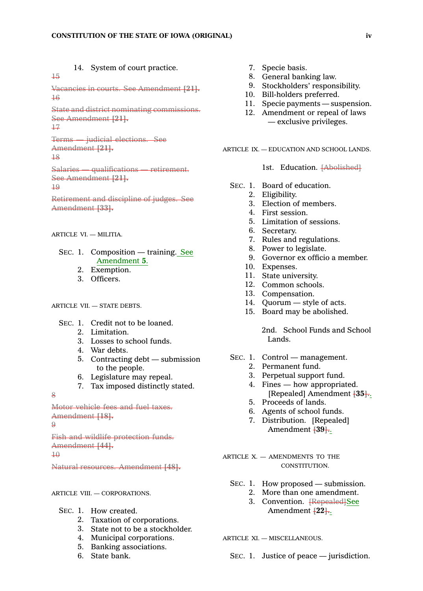14. System of court practice.

Vacancies in courts. See Amendment **[21].** 16

State and district nominating commissions. See Amendment **[21].** 17

15

Terms — judicial elections. See Amendment **[21].** 18

Salaries — qualifications — retirement. See Amendment **[21].**

19

Retirement and discipline of judges. See Amendment **[33].**

ARTICLE VI. — MILITIA.

- SEC. 1. Composition training. See Amendment **5**.
	- 2. Exemption.
	- 3. Officers.

# ARTICLE VII. - STATE DEBTS.

- SEC. 1. Credit not to be loaned.
	- 2. Limitation.
	- 3. Losses to school funds.
	- 4. War debts.
	- 5. Contracting debt submission to the people.
	- 6. Legislature may repeal.
	- 7. Tax imposed distinctly stated.

8

```
Motor vehicle fees and fuel taxes.
Amendment [18].
\Omega
```

```
Fish and wildlife protection funds.
Amendment [44].
\overline{10}
```
Natural resources. Amendment **[48].**

### ARTICLE VIII. — CORPORATIONS.

- SEC. 1. How created.
	- 2. Taxation of corporations.
	- 3. State not to be <sup>a</sup> stockholder.
	- 4. Municipal corporations.
	- 5. Banking associations.
	- 6. State bank.
- 7. Specie basis.
- 8. General banking law.
- 9. Stockholders' responsibility.
- 10. Bill-holders preferred.
- 11. Specie payments suspension.
- 12. Amendment or repeal of laws — exclusive privileges.

ARTICLE IX. — EDUCATION AND SCHOOL LANDS.

1st. Education. [Abolished]

- SEC. 1. Board of education.
	- 2. Eligibility.
	- 3. Election of members.
	- 4. First session.
	- 5. Limitation of sessions.
	- 6. Secretary.
	- 7. Rules and regulations.
	- 8. Power to legislate.
	- 9. Governor ex officio <sup>a</sup> member.
	- 10. Expenses.
	- 11. State university.
	- 12. Common schools.
	- 13. Compensation.
	- 14. Quorum style of acts.
	- 15. Board may be abolished.

2nd. School Funds and School Lands.

- SEC. 1. Control management.
	- 2. Permanent fund.
	- 3. Perpetual support fund.
	- 4. Fines how appropriated. [Repealed] Amendment **[35].**.
	- 5. Proceeds of lands.
	- 6. Agents of school funds.
	- 7. Distribution. [Repealed] Amendment **[39].**.

ARTICLE X. - AMENDMENTS TO THE CONSTITUTION.

- SEC. 1. How proposed submission.
	- 2. More than one amendment. 3. Convention. [Repealed]See
	- Amendment **[22].**.

ARTICLE XI. — MISCELLANEOUS.

SEC. 1. Justice of peace — jurisdiction.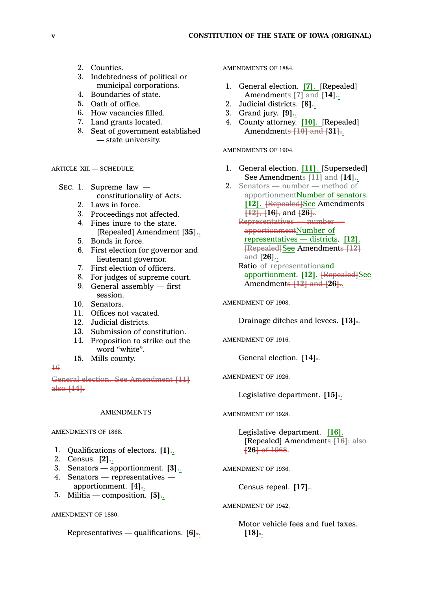- 2. Counties.
- 3. Indebtedness of political or municipal corporations.
- 4. Boundaries of state.
- 5. Oath of office.
- 6. How vacancies filled.
- 7. Land grants located.
- 8. Seat of government established — state university.

ARTICLE XII. — SCHEDULE.

- SEC. 1. Supreme law constitutionality of Acts.
	- 2. Laws in force.
	- 3. Proceedings not affected.
	- 4. Fines inure to the state. [Repealed] Amendment **[35].**.
	- 5. Bonds in force.
	- 6. First election for governor and lieutenant governor.
	- 7. First election of officers.
	- 8. For judges of supreme court.
	- 9. General assembly first session.
	- 10. Senators.
	- 11. Offices not vacated.
	- 12. Judicial districts.
	- 13. Submission of constitution.
	- 14. Proposition to strike out the word "white".
	- 15. Mills county.

# 16

General election. See Amendment **[11]** also **[14].**

## **AMENDMENTS**

AMENDMENTS OF 1868.

- 1. Qualifications of electors. **[1].**.
- 2. Census. **[2].**.
- 3. Senators apportionment. **[3].**.
- 4. Senators representatives apportionment. **[4].**.
- 5. Militia composition. **[5].**.

### AMENDMENT OF 1880.

Representatives — qualifications. **[6].**.

AMENDMENTS OF 1884.

- 1. General election. **[7]**. [Repealed] Amendments **[7]** and **[14].**.
- 2. Judicial districts. **[8].**.
- 3. Grand jury. **[9].**.
- 4. County attorney. **[10]**. [Repealed] Amendments **[10]** and **[31].**.

AMENDMENTS OF 1904.

- 1. General election. **[11]**. [Superseded] See Amendments **[11]** and **[14].**.
- 2. Senators number method of apportionmentNumber of senators. [12]. **[Repealed]See Amendments [12]**, **[16]**, and **[26].**. Representatives — number apportionmentNumber of

representatives — districts. **[12]**. [Repealed]See Amendments **[12]** and **[26].**. Ratio of representationand

apportionment. [12]. **[Repealed]See** Amendments **[12]** and **[26].**.

AMENDMENT OF 1908.

Drainage ditches and levees. **[13].**.

AMENDMENT OF 1916.

General election. **[14].**.

AMENDMENT OF 1926.

Legislative department. **[15].**.

AMENDMENT OF 1928.

Legislative department. **[16]**. [Repealed] Amendments **[16]**; also **[26]** of 1968.

AMENDMENT OF 1936.

Census repeal. **[17].**.

AMENDMENT OF 1942.

Motor vehicle fees and fuel taxes. **[18].**.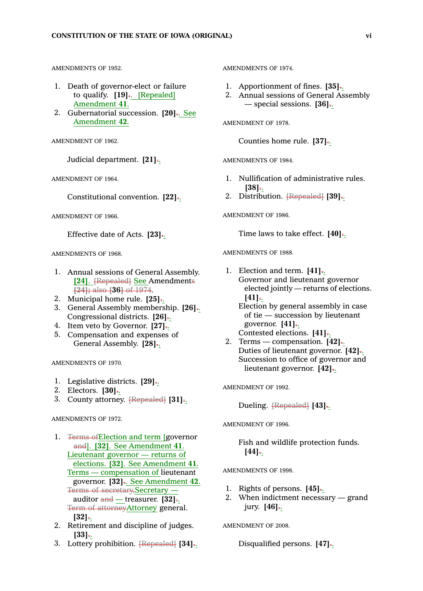#### AMENDMENTS OF 1952.

- 1. Death of governor-elect or failure to qualify. **[19].**. [Repealed] Amendment **41**.
- 2. Gubernatorial succession. **[20].**. See Amendment **42**.

AMENDMENT OF 1962.

Judicial department. **[21].**.

AMENDMENT OF 1964.

Constitutional convention. **[22].**.

AMENDMENT OF 1966.

Effective date of Acts. **[23].**.

AMENDMENTS OF 1968.

- 1. Annual sessions of General Assembly. **[24]**. <del>[Repealed]</del> See Amendments **[24];** also **[36]** of 1974.
- 2. Municipal home rule. **[25].**.
- 3. General Assembly membership. **[26].**. Congressional districts. **[26].**.
- 4. Item veto by Governor. **[27].**.
- 5. Compensation and expenses of General Assembly. **[28].**.

AMENDMENTS OF 1970.

- 1. Legislative districts. **[29].**.
- 2. Electors. **[30].**.
- 3. County attorney. [Repealed] **[31].**.

AMENDMENTS OF 1972.

- 1. Terms ofElection and term [governor and]. **[32]**. See Amendment **41**. Lieutenant governor — returns of elections. **[32]**. See Amendment **41**. Terms — compensation of lieutenant governor. **[32].**. See Amendment **42**. Terms of secretary,Secretary auditor and — treasurer. **[32].**. Term of attorneyAttorney general. **[32].**.
- 2. Retirement and discipline of judges. **[33].**.
- 3. Lottery prohibition. [Repealed] **[34].**.

AMENDMENTS OF 1974.

- 1. Apportionment of fines. **[35].**.
- 2. Annual sessions of General Assembly — special sessions. **[36].**.

AMENDMENT OF 1978.

Counties home rule. **[37].**.

AMENDMENTS OF 1984.

- 1. Nullification of administrative rules. **[38].**.
- 2. Distribution. [Repealed] **[39].**.

AMENDMENT OF 1986.

Time laws to take effect. **[40].**.

AMENDMENTS OF 1988.

1. Election and term. **[41].**. Governor and lieutenant governor elected jointly — returns of elections. **[41].**.

Election by general assembly in case of tie — succession by lieutenant governor. **[41].**. Contested elections. **[41].**.

2. Terms — compensation. **[42].**. Duties of lieutenant governor. **[42].**. Succession to office of governor and lieutenant governor. **[42].**.

AMENDMENT OF 1992.

Dueling. [Repealed] **[43].**.

AMENDMENT OF 1996.

Fish and wildlife protection funds. **[44].**.

AMENDMENTS OF 1998.

- 1. Rights of persons. **[45].**.
- 2. When indictment necessary grand jury. **[46].**.

AMENDMENT OF 2008.

Disqualified persons. **[47].**.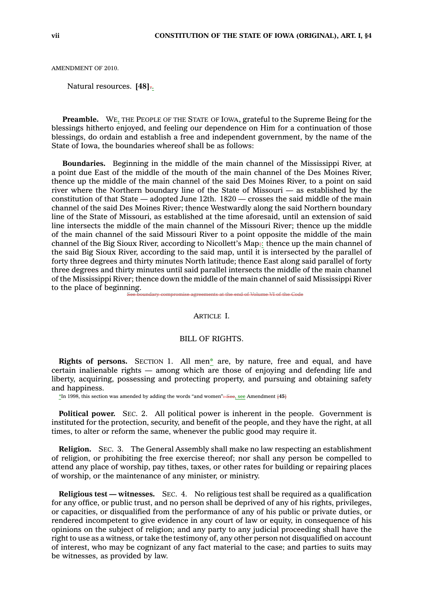AMENDMENT OF 2010.

Natural resources. **[48].**.

**Preamble.** WE, THE PEOPLE OF THE STATE OF IOWA, grateful to the Supreme Being for the blessings hitherto enjoyed, and feeling our dependence on Him for <sup>a</sup> continuation of those blessings, do ordain and establish <sup>a</sup> free and independent government, by the name of the State of Iowa, the boundaries whereof shall be as follows:

**Boundaries.** Beginning in the middle of the main channel of the Mississippi River, at <sup>a</sup> point due East of the middle of the mouth of the main channel of the Des Moines River, thence up the middle of the main channel of the said Des Moines River, to <sup>a</sup> point on said river where the Northern boundary line of the State of Missouri —as established by the constitution of that State — adopted June 12th. 1820 — crosses the said middle of the main channel of the said Des Moines River; thence Westwardly along the said Northern boundary line of the State of Missouri, as established at the time aforesaid, until an extension of said line intersects the middle of the main channel of the Missouri River; thence up the middle of the main channel of the said Missouri River to <sup>a</sup> point opposite the middle of the main channel of the Big Sioux River, according to Nicollett's Map;: thence up the main channel of the said Big Sioux River, according to the said map, until it is intersected by the parallel of forty three degrees and thirty minutes North latitude; thence East along said parallel of forty three degrees and thirty minutes until said parallel intersects the middle of the main channel of the Mississippi River; thence down the middle of the main channel of said Mississippi River to the place of beginning.

omise agreements at the end of Volume VI of the Code

### ARTICLE I.

### BILL OF RIGHTS.

**Rights of persons.** SECTION 1. All men\* are, by nature, free and equal, and have certain inalienable rights — among which are those of enjoying and defending life and liberty, acquiring, possessing and protecting property, and pursuing and obtaining safety and happiness.

\*In 1998, this section was amended by adding the words "and women": See, see Amendment **[45]**

**Political power.** SEC. 2. All political power is inherent in the people. Government is instituted for the protection, security, and benefit of the people, and they have the right, at all times, to alter or reform the same, whenever the public good may require it.

**Religion.** SEC. 3. The General Assembly shall make no law respecting an establishment of religion, or prohibiting the free exercise thereof; nor shall any person be compelled to attend any place of worship, pay tithes, taxes, or other rates for building or repairing places of worship, or the maintenance of any minister, or ministry.

**Religious test —witnesses.** SEC. 4. No religious test shall be required as <sup>a</sup> qualification for any office, or public trust, and no person shall be deprived of any of his rights, privileges, or capacities, or disqualified from the performance of any of his public or private duties, or rendered incompetent to give evidence in any court of law or equity, in consequence of his opinions on the subject of religion; and any party to any judicial proceeding shall have the right to use as <sup>a</sup> witness, or take the testimony of, any other person not disqualified on account of interest, who may be cognizant of any fact material to the case; and parties to suits may be witnesses, as provided by law.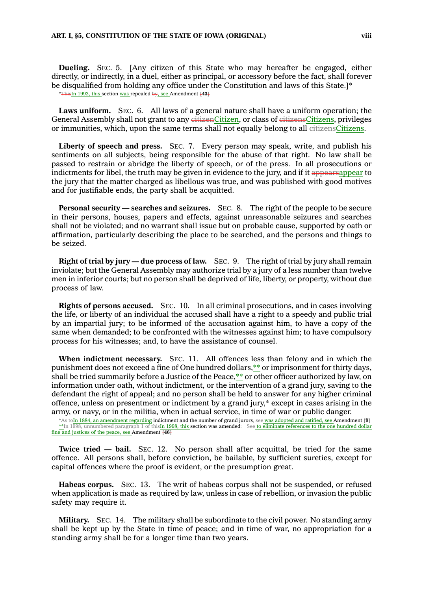**Dueling.** SEC. 5. [Any citizen of this State who may hereafter be engaged, either directly, or indirectly, in <sup>a</sup> duel, either as principal, or accessory before the fact, shall forever be disqualified from holding any office under the Constitution and laws of this State.]\* \*ThisIn 1992, this section was repealed by, see Amendment **[43]**

**Laws uniform.** SEC. 6. All laws of <sup>a</sup> general nature shall have <sup>a</sup> uniform operation; the General Assembly shall not grant to any eitizenCitizen, or class of eitizensCitizens, privileges or immunities, which, upon the same terms shall not equally belong to all eitizensCitizens.

**Liberty of speech and press.** SEC. 7. Every person may speak, write, and publish his sentiments on all subjects, being responsible for the abuse of that right. No law shall be passed to restrain or abridge the liberty of speech, or of the press. In all prosecutions or indictments for libel, the truth may be given in evidence to the jury, and if it appearsappear to the jury that the matter charged as libellous was true, and was published with good motives and for justifiable ends, the party shall be acquitted.

**Personal security — searches and seizures.** SEC. 8. The right of the people to be secure in their persons, houses, papers and effects, against unreasonable seizures and searches shall not be violated; and no warrant shall issue but on probable cause, supported by oath or affirmation, particularly describing the place to be searched, and the persons and things to be seized.

**Right of trial by jury — due process of law.** SEC. 9. The right of trial by jury shall remain inviolate; but the General Assembly may authorize trial by <sup>a</sup> jury of <sup>a</sup> less number than twelve men in inferior courts; but no person shall be deprived of life, liberty, or property, without due process of law.

**Rights of persons accused.** SEC. 10. In all criminal prosecutions, and in cases involving the life, or liberty of an individual the accused shall have <sup>a</sup> right to <sup>a</sup> speedy and public trial by an impartial jury; to be informed of the accusation against him, to have <sup>a</sup> copy of the same when demanded; to be confronted with the witnesses against him; to have compulsory process for his witnesses; and, to have the assistance of counsel.

**When indictment necessary.** SEC. 11. All offences less than felony and in which the punishment does not exceed <sup>a</sup> fine of One hundred dollars,\*\* or imprisonment for thirty days, shall be tried summarily before <sup>a</sup> Justice of the Peace,\*\* or other officer authorized by law, on information under oath, without indictment, or the intervention of <sup>a</sup> grand jury, saving to the defendant the right of appeal; and no person shall be held to answer for any higher criminal offence, unless on presentment or indictment by <sup>a</sup> grand jury,\* except in cases arising in the army, or navy, or in the militia, when in actual service, in time of war or public danger.

\*As toIn 1884, an amendment regarding indictment and the number of grand jurors, see was adopted and ratified, see Amendment **[9]** \*\*In 1998, unnumbered paragraph 1 of thisIn 1998, this section was amended: See to eliminate references to the one hundred dollar fine and justices of the peace, see Amendment **[46]**

**Twice tried — bail.** SEC. 12. No person shall after acquittal, be tried for the same offence. All persons shall, before conviction, be bailable, by sufficient sureties, except for capital offences where the proof is evident, or the presumption great.

**Habeas corpus.** SEC. 13. The writ of habeas corpus shall not be suspended, or refused when application is made as required by law, unless in case of rebellion, or invasion the public safety may require it.

**Military.** SEC. 14. The military shall be subordinate to the civil power. No standing army shall be kept up by the State in time of peace; and in time of war, no appropriation for <sup>a</sup> standing army shall be for <sup>a</sup> longer time than two years.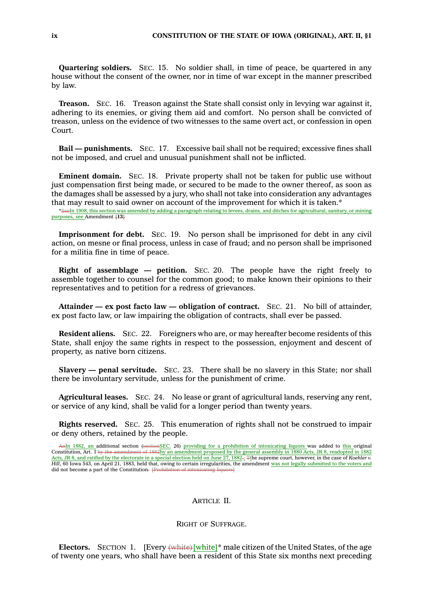**Quartering soldiers.** SEC. 15. No soldier shall, in time of peace, be quartered in any house without the consent of the owner, nor in time of war except in the manner prescribed by law.

**Treason.** SEC. 16. Treason against the State shall consist only in levying war against it, adhering to its enemies, or giving them aid and comfort. No person shall be convicted of treason, unless on the evidence of two witnesses to the same overt act, or confession in open Court.

**Bail —punishments.** SEC. 17. Excessive bail shall not be required; excessive fines shall not be imposed, and cruel and unusual punishment shall not be inflicted.

**Eminent domain.** SEC. 18. Private property shall not be taken for public use without just compensation first being made, or secured to be made to the owner thereof, as soon as the damages shall be assessed by <sup>a</sup> jury, who shall not take into consideration any advantages that may result to said owner on account of the improvement for which it is taken.\*

\*SeeIn 1908, this section was amended by adding <sup>a</sup> paragraph relating to levees, drains, and ditches for agricultural, sanitary, or mining purposes, see Amendment **[13]**

**Imprisonment for debt.** SEC. 19. No person shall be imprisoned for debt in any civil action, on mesne or final process, unless in case of fraud; and no person shall be imprisoned for <sup>a</sup> militia fine in time of peace.

**Right of assemblage — petition.** SEC. 20. The people have the right freely to assemble together to counsel for the common good; to make known their opinions to their representatives and to petition for <sup>a</sup> redress of grievances.

**Attainder — ex post facto law — obligation of contract.** SEC. 21. No bill of attainder, ex post facto law, or law impairing the obligation of contracts, shall ever be passed.

**Resident aliens.** SEC. 22. Foreigners who are, or may hereafter become residents of this State, shall enjoy the same rights in respect to the possession, enjoyment and descent of property, as native born citizens.

**Slavery — penal servitude.** SEC. 23. There shall be no slavery in this State; nor shall there be involuntary servitude, unless for the punishment of crime.

**Agricultural leases.** SEC. 24. No lease or grant of agricultural lands, reserving any rent, or service of any kind, shall be valid for <sup>a</sup> longer period than twenty years.

**Rights reserved.** SEC. 25. This enumeration of rights shall not be construed to impair or deny others, retained by the people.

AnIn 1882, an additional section (sectionSEC. 26) providing for a prohibition of intoxicating liquors was added to this original Constitution, Art. I by the amendment of 1882by an amendment proposed by the general assembly in 1880 Acts, JR 8, readopted in 1882 <u>Acts, JR 8, and ratified by the electorate in a special election held on June 27, 1882-; <del>T</del>the supreme court, however, in the case of *Koehler v*<br>Hill, 60 Iowa 543, on April 21, 1883, held that, owing to certain irregula</u> did not become a part of the Constitution. <del>[Prohibition of into</del>

# ARTICLE II.

### RIGHT OF SUFFRAGE.

**Electors.** SECTION 1. [Every  $\left\{\text{white}\right\}^*$  male citizen of the United States, of the age of twenty one years, who shall have been <sup>a</sup> resident of this State six months next preceding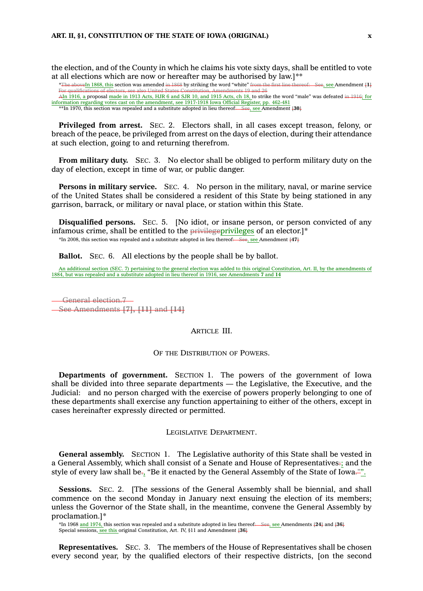the election, and of the County in which he claims his vote sixty days, shall be entitled to vote at all elections which are now or hereafter may be authorised by law.]\*\*

\*The aboveIn 1868, this section was amended in 1868 by striking the word "white" from the first line thereof: See, see Amendment **[1]** For qualifications of electors, see also United States Constitution, Amendments 19 and 26<br>A<u>In 1916,</u> a proposal <u>made in 1913 Acts, HJR 6 and SJR 10, and 1915 Acts, ch 18,</u> to strike the word "male" was defeated <del>in 1916</del> information regarding votes cast on the amendment, see 1917-1918 Iowa Official Register, pp. 462-481<br>\*\*In 1970, this section was repealed and a substitute adopted in lieu thereof:—See, see Amendment 430+ \*\*In 1970, this section was repealed and a substitute adopted in lieu thereof:

**Privileged from arrest.** SEC. 2. Electors shall, in all cases except treason, felony, or breach of the peace, be privileged from arrest on the days of election, during their attendance at such election, going to and returning therefrom.

**From military duty.** SEC. 3. No elector shall be obliged to perform military duty on the day of election, except in time of war, or public danger.

**Persons in military service.** SEC. 4. No person in the military, naval, or marine service of the United States shall be considered <sup>a</sup> resident of this State by being stationed in any garrison, barrack, or military or naval place, or station within this State.

**Disqualified persons.** SEC. 5. [No idiot, or insane person, or person convicted of any infamous crime, shall be entitled to the privilegeprivileges of an elector.]\* \*In 2008, this section was repealed and <sup>a</sup> substitute adopted in lieu thereof: See, see Amendment **[47]**

**Ballot.** SEC. 6. All elections by the people shall be by ballot.

An additional section (SEC. 7) pertaining to the general election was added to this original Constitution, Art. II, by the amendments of 1884, but was repealed and a substitute adopted in lieu thereof in 1916, see Amendmen

General election.7 See Amendments **[7], [11]** and **[14]**

#### ARTICLE III.

OF THE DISTRIBUTION OF POWERS.

**Departments of government.** SECTION 1. The powers of the government of Iowa shall be divided into three separate departments — the Legislative, the Executive, and the Judicial: and no person charged with the exercise of powers properly belonging to one of these departments shall exercise any function appertaining to either of the others, except in cases hereinafter expressly directed or permitted.

#### LEGISLATIVE DEPARTMENT.

**General assembly.** SECTION 1. The Legislative authority of this State shall be vested in <sup>a</sup> General Assembly, which shall consist of <sup>a</sup> Senate and House of Representatives:; and the style of every law shall be<sub>7</sub>, "Be it enacted by the General Assembly of the State of Iowa."".

**Sessions.** SEC. 2. [The sessions of the General Assembly shall be biennial, and shall commence on the second Monday in January next ensuing the election of its members; unless the Governor of the State shall, in the meantime, convene the General Assembly by proclamation.]\*

\*In 1968 and 1974, this section was repealed and <sup>a</sup> substitute adopted in lieu thereof: See, see Amendments **[24]** and **[36]** Special sessions, see this original Constitution, Art. IV, §11 and Amendment **[36]**

**Representatives.** SEC. 3. The members of the House of Representatives shall be chosen every second year, by the qualified electors of their respective districts, [on the second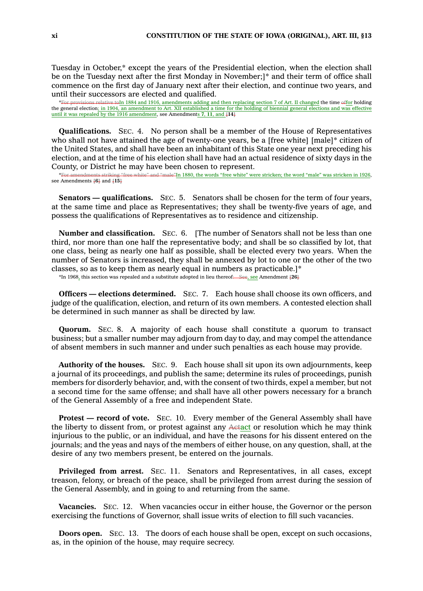Tuesday in October,\* except the years of the Presidential election, when the election shall be on the Tuesday next after the first Monday in November;]\* and their term of office shall commence on the first day of January next after their election, and continue two years, and until their successors are elected and qualified.

\*For provisions relative toIn 1884 and 1916, amendments adding and then replacing section 7 of Art. II changed the time offor holding the general election; in 1904, an amendment to Art. XII established <sup>a</sup> time for the holding of biennial general elections and was effective until it was repealed by the 1916 amendment, see Amendments 7, 11, and  $\overline{114}$ 

**Qualifications.** SEC. 4. No person shall be <sup>a</sup> member of the House of Representatives who shall not have attained the age of twenty-one years, be a [free white] [male]\* citizen of the United States, and shall have been an inhabitant of this State one year next preceding his election, and at the time of his election shall have had an actual residence of sixty days in the County, or District he may have been chosen to represent.

mts striking "free white" and "male"In 1880, the words "free white" were stricken; the word "male" was stricken in 1926, see Amendments **[6]** and **[15]**

**Senators — qualifications.** SEC. 5. Senators shall be chosen for the term of four years, at the same time and place as Representatives; they shall be twenty-five years of age, and possess the qualifications of Representatives as to residence and citizenship.

**Number and classification.** SEC. 6. [The number of Senators shall not be less than one third, nor more than one half the representative body; and shall be so classified by lot, that one class, being as nearly one half as possible, shall be elected every two years. When the number of Senators is increased, they shall be annexed by lot to one or the other of the two classes, so as to keep them as nearly equal in numbers as practicable.]\*

\*In 1968, this section was repealed and <sup>a</sup> substitute adopted in lieu thereof: See, see Amendment **[26]**

**Officers — elections determined.** SEC. 7. Each house shall choose its own officers, and judge of the qualification, election, and return of its own members. A contested election shall be determined in such manner as shall be directed by law.

**Quorum.** SEC. 8. A majority of each house shall constitute <sup>a</sup> quorum to transact business; but <sup>a</sup> smaller number may adjourn from day to day, and may compel the attendance of absent members in such manner and under such penalties as each house may provide.

**Authority of the houses.** SEC. 9. Each house shall sit upon its own adjournments, keep <sup>a</sup> journal of its proceedings, and publish the same; determine its rules of proceedings, punish members for disorderly behavior, and, with the consent of two thirds, expel <sup>a</sup> member, but not <sup>a</sup> second time for the same offense; and shall have all other powers necessary for <sup>a</sup> branch of the General Assembly of <sup>a</sup> free and independent State.

**Protest — record of vote.** SEC. 10. Every member of the General Assembly shall have the liberty to dissent from, or protest against any Actact or resolution which he may think injurious to the public, or an individual, and have the reasons for his dissent entered on the journals; and the yeas and nays of the members of either house, on any question, shall, at the desire of any two members present, be entered on the journals.

**Privileged from arrest.** SEC. 11. Senators and Representatives, in all cases, except treason, felony, or breach of the peace, shall be privileged from arrest during the session of the General Assembly, and in going to and returning from the same.

**Vacancies.** SEC. 12. When vacancies occur in either house, the Governor or the person exercising the functions of Governor, shall issue writs of election to fill such vacancies.

**Doors open.** SEC. 13. The doors of each house shall be open, except on such occasions, as, in the opinion of the house, may require secrecy.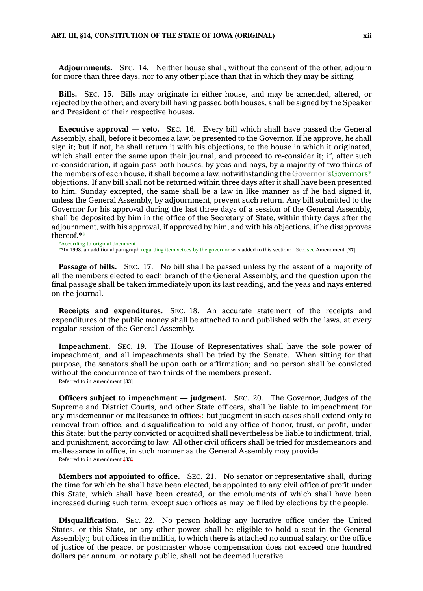**Adjournments.** SEC. 14. Neither house shall, without the consent of the other, adjourn for more than three days, nor to any other place than that in which they may be sitting.

**Bills.** SEC. 15. Bills may originate in either house, and may be amended, altered, or rejected by the other; and every bill having passed both houses, shall be signed by the Speaker and President of their respective houses.

**Executive approval — veto.** SEC. 16. Every bill which shall have passed the General Assembly, shall, before it becomes <sup>a</sup> law, be presented to the Governor. If he approve, he shall sign it; but if not, he shall return it with his objections, to the house in which it originated, which shall enter the same upon their journal, and proceed to re-consider it; if, after such re-consideration, it again pass both houses, by yeas and nays, by <sup>a</sup> majority of two thirds of the members of each house, it shall become a law, notwithstanding the Governor'sGovernors\* objections. If any bill shall not be returned within three days after it shall have been presented to him, Sunday excepted, the same shall be <sup>a</sup> law in like manner as if he had signed it, unless the General Assembly, by adjournment, prevent such return. Any bill submitted to the Governor for his approval during the last three days of <sup>a</sup> session of the General Assembly, shall be deposited by him in the office of the Secretary of State, within thirty days after the adjournment, with his approval, if approved by him, and with his objections, if he disapproves thereof.\*\*

\*According to original document \*\*In 1968, an additional paragraph regarding item vetoes by the governor was added to this section: See, see Amendment **[27]**

**Passage of bills.** SEC. 17. No bill shall be passed unless by the assent of <sup>a</sup> majority of all the members elected to each branch of the General Assembly, and the question upon the final passage shall be taken immediately upon its last reading, and the yeas and nays entered on the journal.

**Receipts and expenditures.** SEC. 18. An accurate statement of the receipts and expenditures of the public money shall be attached to and published with the laws, at every regular session of the General Assembly.

**Impeachment.** SEC. 19. The House of Representatives shall have the sole power of impeachment, and all impeachments shall be tried by the Senate. When sitting for that purpose, the senators shall be upon oath or affirmation; and no person shall be convicted without the concurrence of two thirds of the members present.

Referred to in Amendment **[33]**

**Officers subject to impeachment — judgment.** SEC. 20. The Governor, Judges of the Supreme and District Courts, and other State officers, shall be liable to impeachment for any misdemeanor or malfeasance in office;: but judgment in such cases shall extend only to removal from office, and disqualification to hold any office of honor, trust, or profit, under this State; but the party convicted or acquitted shall nevertheless be liable to indictment, trial, and punishment, according to law. All other civil officers shall be tried for misdemeanors and malfeasance in office, in such manner as the General Assembly may provide.

Referred to in Amendment **[33]**

**Members not appointed to office.** SEC. 21. No senator or representative shall, during the time for which he shall have been elected, be appointed to any civil office of profit under this State, which shall have been created, or the emoluments of which shall have been increased during such term, except such offices as may be filled by elections by the people.

**Disqualification.** SEC. 22. No person holding any lucrative office under the United States, or this State, or any other power, shall be eligible to hold <sup>a</sup> seat in the General Assembly<sub> $\ddot{\tau}$ </sub>: but offices in the militia, to which there is attached no annual salary, or the office of justice of the peace, or postmaster whose compensation does not exceed one hundred dollars per annum, or notary public, shall not be deemed lucrative.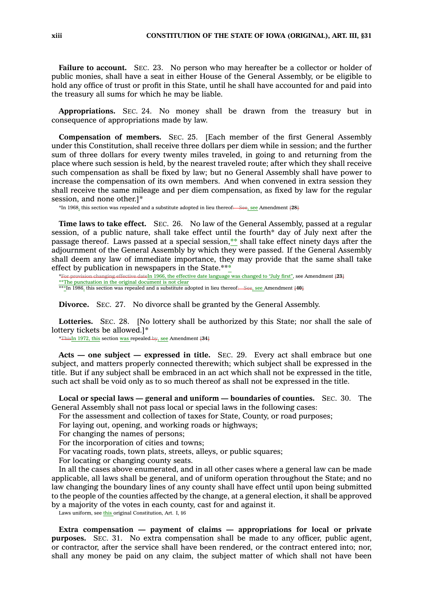**Failure to account.** SEC. 23. No person who may hereafter be <sup>a</sup> collector or holder of public monies, shall have <sup>a</sup> seat in either House of the General Assembly, or be eligible to hold any office of trust or profit in this State, until he shall have accounted for and paid into the treasury all sums for which he may be liable.

**Appropriations.** SEC. 24. No money shall be drawn from the treasury but in consequence of appropriations made by law.

**Compensation of members.** SEC. 25. [Each member of the first General Assembly under this Constitution, shall receive three dollars per diem while in session; and the further sum of three dollars for every twenty miles traveled, in going to and returning from the place where such session is held, by the nearest traveled route; after which they shall receive such compensation as shall be fixed by law; but no General Assembly shall have power to increase the compensation of its own members. And when convened in extra session they shall receive the same mileage and per diem compensation, as fixed by law for the regular session, and none other.]\*

\*In 1968, this section was repealed and <sup>a</sup> substitute adopted in lieu thereof: See, see Amendment **[28]**

**Time laws to take effect.** SEC. 26. No law of the General Assembly, passed at <sup>a</sup> regular session, of <sup>a</sup> public nature, shall take effect until the fourth\* day of July next after the passage thereof. Laws passed at <sup>a</sup> special session,\*\* shall take effect ninety days after the adjournment of the General Assembly by which they were passed. If the General Assembly shall deem any law of immediate importance, they may provide that the same shall take effect by publication in newspapers in the State.\*\*\*

\*For provision changing effective dateIn 1966, the effective date language was changed to "July first", see Amendment **[23]** \*\*The punctuation in the original document is not clear \*\*\*In 1986, this section was repealed and <sup>a</sup> substitute adopted in lieu thereof: See, see Amendment **[40]**

**Divorce.** SEC. 27. No divorce shall be granted by the General Assembly.

Lotteries. SEC. 28. [No lottery shall be authorized by this State; nor shall the sale of lottery tickets be allowed.]\*

\*ThisIn 1972, this section was repealed by, see Amendment **[34]**

**Acts — one subject — expressed in title.** SEC. 29. Every act shall embrace but one subject, and matters properly connected therewith; which subject shall be expressed in the title. But if any subject shall be embraced in an act which shall not be expressed in the title, such act shall be void only as to so much thereof as shall not be expressed in the title.

**Local or special laws — general and uniform — boundaries of counties.** SEC. 30. The General Assembly shall not pass local or special laws in the following cases:

For the assessment and collection of taxes for State, County, or road purposes;

For laying out, opening, and working roads or highways;

For changing the names of persons;

For the incorporation of cities and towns;

For vacating roads, town plats, streets, alleys, or public squares;

For locating or changing county seats.

In all the cases above enumerated, and in all other cases where <sup>a</sup> general law can be made applicable, all laws shall be general, and of uniform operation throughout the State; and no law changing the boundary lines of any county shall have effect until upon being submitted to the people of the counties affected by the change, at <sup>a</sup> general election, it shall be approved by <sup>a</sup> majority of the votes in each county, cast for and against it.

Laws uniform, see this original Constitution, Art. I, §6

**Extra compensation — payment of claims — appropriations for local or private purposes.** SEC. 31. No extra compensation shall be made to any officer, public agent, or contractor, after the service shall have been rendered, or the contract entered into; nor, shall any money be paid on any claim, the subject matter of which shall not have been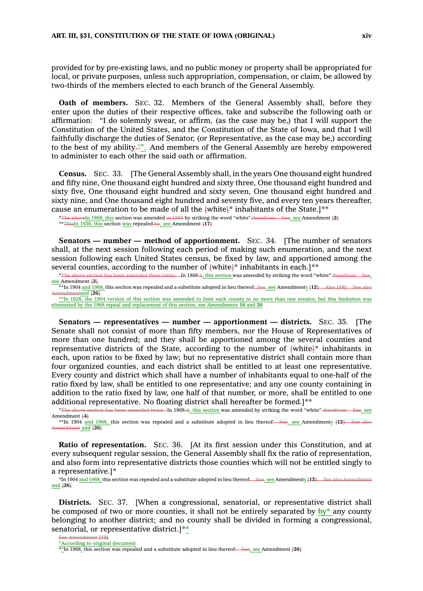provided for by pre-existing laws, and no public money or property shall be appropriated for local, or private purposes, unless such appropriation, compensation, or claim, be allowed by two-thirds of the members elected to each branch of the General Assembly.

**Oath of members.** SEC. 32. Members of the General Assembly shall, before they enter upon the duties of their respective offices, take and subscribe the following oath or affirmation: "I do solemnly swear, or affirm, (as the case may be,) that I will support the Constitution of the United States, and the Constitution of the State of Iowa, and that I will faithfully discharge the duties of Senator, (or Representative, as the case may be,) according to the best of my ability."". And members of the General Assembly are hereby empowered to administer to each other the said oath or affirmation.

**Census.** SEC. 33. [The General Assembly shall, in the years One thousand eight hundred and fifty nine, One thousand eight hundred and sixty three, One thousand eight hundred and sixty five, One thousand eight hundred and sixty seven, One thousand eight hundred and sixty nine, and One thousand eight hundred and seventy five, and every ten years thereafter,

cause an enumeration to be made of all the  $\text{+white-}\}^*$  inhabitants of the State.]\*\*<br>\*The aboveIn 1868, this section was amended in 1868 by striking the word "white" therefrom: See, see Amendment 42+ \*The aboveIn 1868, this section was amended in 1868 by striking the word "white" therefrom: See, see, see Amendment **[2]** \*\*ThisIn 1936, this section was repealed by, see Amendment **[17]**

**Senators — number — method of apportionment.** SEC. 34. [The number of senators shall, at the next session following each period of making such enumeration, and the next session following each United States census, be fixed by law, and apportioned among the several counties, according to the number of  ${+}$ white ${+}^*$  inhabitants in each.]\*\*

\*The above section has been amended three times: In 1868 it, this section was amended by striking the word "white" therefrom: see Amendment **[3]**

\*\*In 1904 and 1968, this section was repealed and <sup>a</sup> substitute adopted in lieu thereof. See, see Amendments **[12]**: Also **[16]**: See also endmentand  $[26]$ 

\*\*In 1928, the 1904 version of this section was amended to limit each county to no more than one senator, but this limitation was eliminated by the 1968 repeal and replacement of this section, see Amendments **16** and **26**

**Senators — representatives — number — apportionment — districts.** SEC. 35. [The Senate shall not consist of more than fifty members, nor the House of Representatives of more than one hundred; and they shall be apportioned among the several counties and representative districts of the State, according to the number of  $\text{Fwhite}^*$  inhabitants in each, upon ratios to be fixed by law; but no representative district shall contain more than four organized counties, and each district shall be entitled to at least one representative. Every county and district which shall have <sup>a</sup> number of inhabitants equal to one-half of the ratio fixed by law, shall be entitled to one representative; and any one county containing in addition to the ratio fixed by law, one half of that number, or more, shall be entitled to one additional representative. No floating district shall hereafter be formed.]\*\*

\*The above section has been amended twice. In 1868 it, this section was amended by striking the word "white" therefrom: See, see Amendment **[4]** \*\*In 1904 and 1968, this section was repealed and a substitute adopted in lieu thereof: See, see Amendments  $\text{+12}$ : See

 $\frac{1}{26}$  and  $\frac{1}{6}$ **Ratio** of representation. SEC. 36. [At its first session under this Constitution, and at

every subsequent regular session, the General Assembly shall fix the ratio of representation, and also form into representative districts those counties which will not be entitled singly to <sup>a</sup> representative.]\*

\*In 1904 and 1968, this section was repealed and a substitute adopted in lieu thereof: See, see Amendments **[12**]: See and **[26]**

**Districts.** SEC. 37. [When <sup>a</sup> congressional, senatorial, or representative district shall be composed of two or more counties, it shall not be entirely separated by  $by^*$  any county belonging to another district; and no county shall be divided in forming <sup>a</sup> congressional, senatorial, or representative district.]\*\*

See Amendment **[12]** \*According to original document

<sup>\*\*</sup>In 1968, this section was repealed and a substitute adopted in lieu thereof:<del> See, see</del> Amendment [26]<sup>\*\*\*</sup>In 1968, this section was repealed and a substitute adopted in lieu thereof: See, see Amendment [26]\*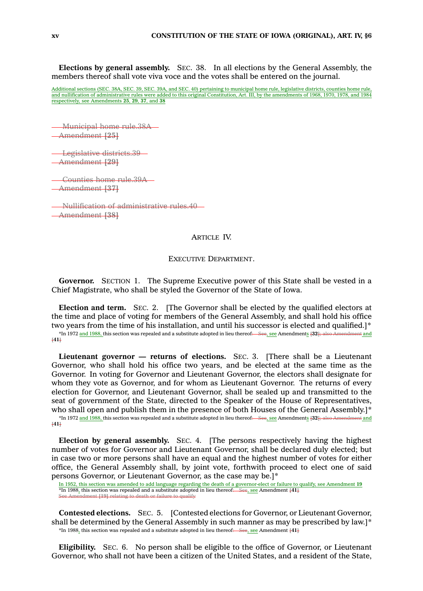**Elections by general assembly.** SEC. 38. In all elections by the General Assembly, the members thereof shall vote viva voce and the votes shall be entered on the journal.

Additional sections (SEC. 38A, SEC. 39, SEC. 39A, and SEC. 40) pertaining to municipal home rule, legislative districts, counties home rule<br>and nullification of administrative rules were added to this original Constitution respectively, see Amendments **25**, **29**, **37**, and **38**

Municipal home rule.38A Amendment **[25]**

Legislative districts.39 Amendment **[29]**

Counties home rule.39A Amendment **[37]**

Nullification of administrative rules.40 Amendment **[38]**

### ARTICLE IV.

EXECUTIVE DEPARTMENT.

**Governor.** SECTION 1. The Supreme Executive power of this State shall be vested in <sup>a</sup> Chief Magistrate, who shall be styled the Governor of the State of Iowa.

**Election and term.** SEC. 2. [The Governor shall be elected by the qualified electors at the time and place of voting for members of the General Assembly, and shall hold his office two years from the time of his installation, and until his successor is elected and qualified.]\* \*In 1972 and 1988, this section was repealed and <sup>a</sup> substitute adopted in lieu thereof: See, see Amendments **[32]**; also Amendment and **[41]**

**Lieutenant governor — returns of elections.** SEC. 3. [There shall be <sup>a</sup> Lieutenant Governor, who shall hold his office two years, and be elected at the same time as the Governor. In voting for Governor and Lieutenant Governor, the electors shall designate for whom they vote as Governor, and for whom as Lieutenant Governor. The returns of every election for Governor, and Lieutenant Governor, shall be sealed up and transmitted to the seat of government of the State, directed to the Speaker of the House of Representatives, who shall open and publish them in the presence of both Houses of the General Assembly.]\* \*In 1972 and 1988, this section was repealed and <sup>a</sup> substitute adopted in lieu thereof: See, see Amendments **[32]**; also Amendment and **[41]**

**Election by general assembly.** SEC. 4. [The persons respectively having the highest number of votes for Governor and Lieutenant Governor, shall be declared duly elected; but in case two or more persons shall have an equal and the highest number of votes for either office, the General Assembly shall, by joint vote, forthwith proceed to elect one of said persons Governor, or Lieutenant Governor, as the case may be.]\*

**Contested elections.** SEC. 5. [Contested elections for Governor, or Lieutenant Governor, shall be determined by the General Assembly in such manner as may be prescribed by law.]\* \*In 1988, this section was repealed and <sup>a</sup> substitute adopted in lieu thereof: See, see Amendment **[41]**

**Eligibility.** SEC. 6. No person shall be eligible to the office of Governor, or Lieutenant Governor, who shall not have been <sup>a</sup> citizen of the United States, and <sup>a</sup> resident of the State,

In 1952, this section was amended to add language regarding the death of <sup>a</sup> governor-elect or failure to qualify, see Amendment **19** \*In 1988, this section was repealed and <sup>a</sup> substitute adopted in lieu thereof: See, see Amendment **[41]** ent [19] relating to death or failure to q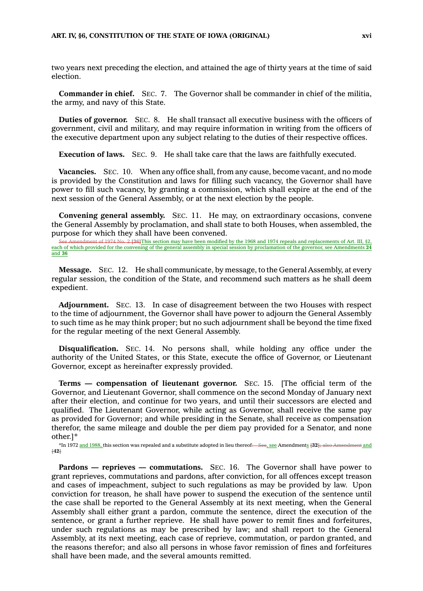two years next preceding the election, and attained the age of thirty years at the time of said election.

**Commander in chief.** SEC. 7. The Governor shall be commander in chief of the militia, the army, and navy of this State.

**Duties of governor.** SEC. 8. He shall transact all executive business with the officers of government, civil and military, and may require information in writing from the officers of the executive department upon any subject relating to the duties of their respective offices.

**Execution of laws.** SEC. 9. He shall take care that the laws are faithfully executed.

**Vacancies.** SEC. 10. When any office shall, from any cause, become vacant, and no mode is provided by the Constitution and laws for filling such vacancy, the Governor shall have power to fill such vacancy, by granting <sup>a</sup> commission, which shall expire at the end of the next session of the General Assembly, or at the next election by the people.

**Convening general assembly.** SEC. 11. He may, on extraordinary occasions, convene the General Assembly by proclamation, and shall state to both Houses, when assembled, the purpose for which they shall have been convened.

See Amendment of 1974 No. 2 **[36]**This section may have been modified by the 1968 and 1974 repeals and replacements of Art. III, §2, each of which provided for the convening of the general assembly in special session by proclamation of the governor, see Amendments **24** and **36**

**Message.** SEC. 12. He shall communicate, by message, to the General Assembly, at every regular session, the condition of the State, and recommend such matters as he shall deem expedient.

**Adjournment.** SEC. 13. In case of disagreement between the two Houses with respect to the time of adjournment, the Governor shall have power to adjourn the General Assembly to such time as he may think proper; but no such adjournment shall be beyond the time fixed for the regular meeting of the next General Assembly.

**Disqualification.** SEC. 14. No persons shall, while holding any office under the authority of the United States, or this State, execute the office of Governor, or Lieutenant Governor, except as hereinafter expressly provided.

**Terms — compensation of lieutenant governor.** SEC. 15. [The official term of the Governor, and Lieutenant Governor, shall commence on the second Monday of January next after their election, and continue for two years, and until their successors are elected and qualified. The Lieutenant Governor, while acting as Governor, shall receive the same pay as provided for Governor; and while presiding in the Senate, shall receive as compensation therefor, the same mileage and double the per diem pay provided for <sup>a</sup> Senator, and none other.]\*

\*In 1972 and 1988, this section was repealed and <sup>a</sup> substitute adopted in lieu thereof: See, see Amendments **[32]**; also Amendment and **[42]**

**Pardons — reprieves — commutations.** SEC. 16. The Governor shall have power to grant reprieves, commutations and pardons, after conviction, for all offences except treason and cases of impeachment, subject to such regulations as may be provided by law. Upon conviction for treason, he shall have power to suspend the execution of the sentence until the case shall be reported to the General Assembly at its next meeting, when the General Assembly shall either grant <sup>a</sup> pardon, commute the sentence, direct the execution of the sentence, or grant <sup>a</sup> further reprieve. He shall have power to remit fines and forfeitures, under such regulations as may be prescribed by law; and shall report to the General Assembly, at its next meeting, each case of reprieve, commutation, or pardon granted, and the reasons therefor; and also all persons in whose favor remission of fines and forfeitures shall have been made, and the several amounts remitted.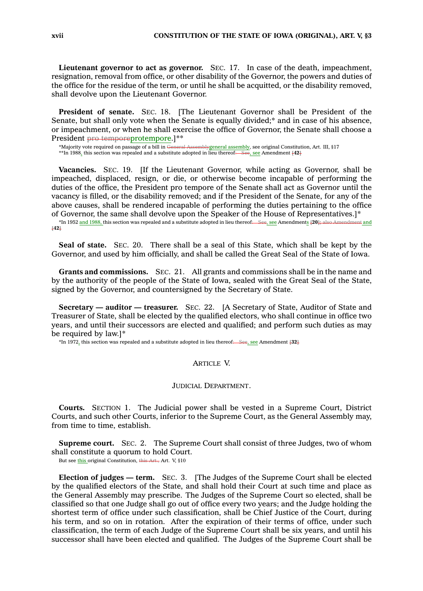**Lieutenant governor to act as governor.** SEC. 17. In case of the death, impeachment, resignation, removal from office, or other disability of the Governor, the powers and duties of the office for the residue of the term, or until he shall be acquitted, or the disability removed, shall devolve upon the Lieutenant Governor.

**President of senate.** SEC. 18. [The Lieutenant Governor shall be President of the Senate, but shall only vote when the Senate is equally divided;\* and in case of his absence, or impeachment, or when he shall exercise the office of Governor, the Senate shall choose <sup>a</sup> President pro temporeprotempore.]\*\*

\*Majority vote required on passage of a bill in <del>General Assemblygeneral assembl</del>y, see original Constitution, Art. III, §17<br>\*\*In 1988<u>,</u> this section was repealed and a substitute adopted in lieu thereof<del>.—See, see</del> Amend

**Vacancies.** SEC. 19. [If the Lieutenant Governor, while acting as Governor, shall be impeached, displaced, resign, or die, or otherwise become incapable of performing the duties of the office, the President pro tempore of the Senate shall act as Governor until the vacancy is filled, or the disability removed; and if the President of the Senate, for any of the above causes, shall be rendered incapable of performing the duties pertaining to the office of Governor, the same shall devolve upon the Speaker of the House of Representatives.]\*

\*In 1952 and 1988, this section was repealed and <sup>a</sup> substitute adopted in lieu thereof: See, see Amendments **[20];** also Amendment and **[42]**

**Seal of state.** SEC. 20. There shall be <sup>a</sup> seal of this State, which shall be kept by the Governor, and used by him officially, and shall be called the Great Seal of the State of Iowa.

**Grants and commissions.** SEC. 21. All grants and commissions shall be in the name and by the authority of the people of the State of Iowa, sealed with the Great Seal of the State, signed by the Governor, and countersigned by the Secretary of State.

**Secretary — auditor — treasurer.** SEC. 22. [A Secretary of State, Auditor of State and Treasurer of State, shall be elected by the qualified electors, who shall continue in office two years, and until their successors are elected and qualified; and perform such duties as may be required by law.]\*

\*In 1972, this section was repealed and <sup>a</sup> substitute adopted in lieu thereof: See, see Amendment **[32]**

### ARTICLE V.

#### JUDICIAL DEPARTMENT.

**Courts.** SECTION 1. The Judicial power shall be vested in <sup>a</sup> Supreme Court, District Courts, and such other Courts, inferior to the Supreme Court, as the General Assembly may, from time to time, establish.

**Supreme court.** SEC. 2. The Supreme Court shall consist of three Judges, two of whom shall constitute <sup>a</sup> quorum to hold Court. But see this original Constitution, this Art., Art. V, §10

**Election of judges — term.** SEC. 3. [The Judges of the Supreme Court shall be elected by the qualified electors of the State, and shall hold their Court at such time and place as the General Assembly may prescribe. The Judges of the Supreme Court so elected, shall be classified so that one Judge shall go out of office every two years; and the Judge holding the shortest term of office under such classification, shall be Chief Justice of the Court, during his term, and so on in rotation. After the expiration of their terms of office, under such classification, the term of each Judge of the Supreme Court shall be six years, and until his successor shall have been elected and qualified. The Judges of the Supreme Court shall be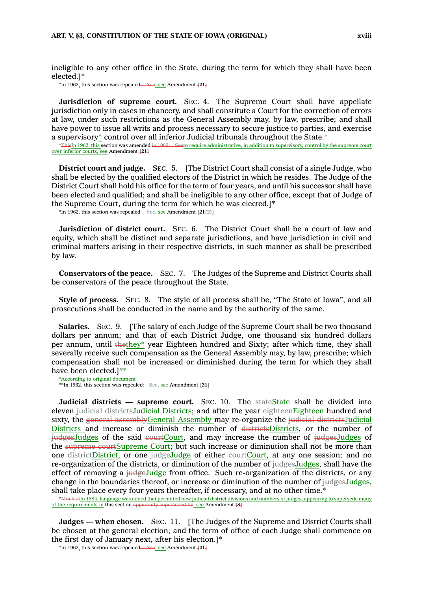ineligible to any other office in the State, during the term for which they shall have been elected.]\*

\*In 1962, this section was repealed: See, see Amendment **[21]**

**Jurisdiction of supreme court.** SEC. 4. The Supreme Court shall have appellate jurisdiction only in cases in chancery, and shall constitute <sup>a</sup> Court for the correction of errors at law, under such restrictions as the General Assembly may, by law, prescribe; and shall have power to issue all writs and process necessary to secure justice to parties, and exercise a supervisory\* control over all inferior Judicial tribunals throughout the State.\*

\*ThisIn 1962, this section was amended in 1962: Seeto require administrative, in addition to supervisory, control by the supreme court over inferior courts, see Amendment **[21]**

**District court and judge.** SEC. 5. [The District Court shall consist of <sup>a</sup> single Judge, who shall be elected by the qualified electors of the District in which he resides. The Judge of the District Court shall hold his office for the term of four years, and until his successor shall have been elected and qualified; and shall be ineligible to any other office, except that of Judge of the Supreme Court, during the term for which he was elected.]\*

\*In 1962, this section was repealed: See, see Amendment **[21(2)]**

**Jurisdiction of district court.** SEC. 6. The District Court shall be <sup>a</sup> court of law and equity, which shall be distinct and separate jurisdictions, and have jurisdiction in civil and criminal matters arising in their respective districts, in such manner as shall be prescribed by law.

**Conservators of the peace.** SEC. 7. The Judges of the Supreme and District Courts shall be conservators of the peace throughout the State.

**Style of process.** SEC. 8. The style of all process shall be, "The State of Iowa", and all prosecutions shall be conducted in the name and by the authority of the same.

**Salaries.** SEC. 9. [The salary of each Judge of the Supreme Court shall be two thousand dollars per annum; and that of each District Judge, one thousand six hundred dollars per annum, until thethey\* year Eighteen hundred and Sixty; after which time, they shall severally receive such compensation as the General Assembly may, by law, prescribe; which compensation shall not be increased or diminished during the term for which they shall have been elected.]\*\*

\*According to original document \*\*In 1962, this section was repealed: See, see Amendment **[21]**

**Judicial districts — supreme court.** SEC. 10. The stateState shall be divided into eleven judicial districtsJudicial Districts; and after the year eighteenEighteen hundred and sixty, the general assemblyGeneral Assembly may re-organize the judicial districtsJudicial Districts and increase or diminish the number of districtsDistricts, or the number of judgesJudges of the said courtCourt, and may increase the number of judgesJudges of the supreme courtSupreme Court; but such increase or diminution shall not be more than one districtDistrict, or one judgeJudge of either courtCourt, at any one session; and no re-organization of the districts, or diminution of the number of judgesJudges, shall have the effect of removing <sup>a</sup> judgeJudge from office. Such re-organization of the districts, or any change in the boundaries thereof, or increase or diminution of the number of  $\frac{1}{100}$ udges, shall take place every four years thereafter, if necessary, and at no other time.\*

\*Much of In 1884, language was added that permitted new judicial district divisions and numbers of judges, appearing to supersede many of the requirements in this section apparently superseded by, see Amendment **[8]**

**Judges — when chosen.** SEC. 11. [The Judges of the Supreme and District Courts shall be chosen at the general election; and the term of office of each Judge shall commence on the first day of January next, after his election.]\*

\*In 1962, this section was repealed: See, see Amendment **[21]**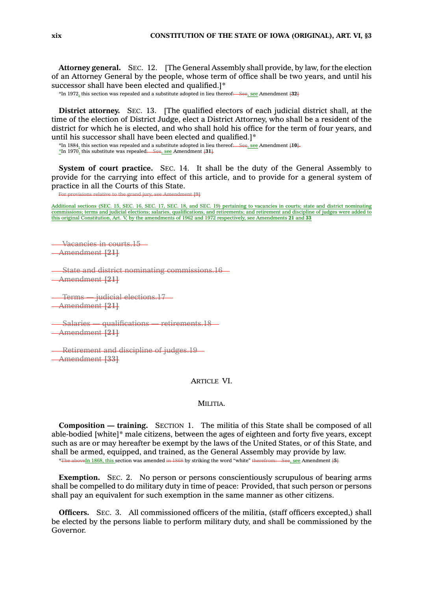**Attorney general.** SEC. 12. [The General Assembly shall provide, by law, for the election of an Attorney General by the people, whose term of office shall be two years, and until his successor shall have been elected and qualified.]\*

\*In 1972, this section was repealed and <sup>a</sup> substitute adopted in lieu thereof: See, see Amendment **[32]**

**District attorney.** SEC. 13. [The qualified electors of each judicial district shall, at the time of the election of District Judge, elect <sup>a</sup> District Attorney, who shall be <sup>a</sup> resident of the district for which he is elected, and who shall hold his office for the term of four years, and until his successor shall have been elected and qualified.]\*

\*In 1884, this section was repealed and <sup>a</sup> substitute adopted in lieu thereof: See, see Amendment **[10]**.

\*In 1970, this substitute was repealed: See, see Amendment **[31]**

**System of court practice.** SEC. 14. It shall be the duty of the General Assembly to provide for the carrying into effect of this article, and to provide for <sup>a</sup> general system of practice in all the Courts of this State.

For provisions relative to the grand jury, see Amendment **[9]**

Additional sections (SEC. 15, SEC. 16, SEC. 17, SEC. 18, and SEC. 19) pertaining to vacancies in courts; state and district nominating commissions; terms and judicial elections; salaries, qualifications, and retirements; and retirement and discipline of judges were added to this original Constitution, Art. V, by the amendments of 1962 and 1972 respectively, see Amendments **21** and **33**

Vacancies in courts.15 Amendment **[21]**

State and district nominating commissions.16 Amendment **[21]**

Terms — judicial elections.17 Amendment **[21]**

Salaries — qualifications — retirements.18 Amendment **[21]**

Retirement and discipline of judges.19 Amendment **[33]**

# ARTICLE VI.

### MILITIA.

**Composition — training.** SECTION 1. The militia of this State shall be composed of all able-bodied [white]\* male citizens, between the ages of eighteen and forty five years, except such as are or may hereafter be exempt by the laws of the United States, or of this State, and shall be armed, equipped, and trained, as the General Assembly may provide by law. \*The aboveIn 1868, this section was amended in 1868 by striking the word "white" therefrom: See, see Amendment **[5]**

**Exemption.** SEC. 2. No person or persons conscientiously scrupulous of bearing arms shall be compelled to do military duty in time of peace: Provided, that such person or persons shall pay an equivalent for such exemption in the same manner as other citizens.

**Officers.** SEC. 3. All commissioned officers of the militia, (staff officers excepted,) shall be elected by the persons liable to perform military duty, and shall be commissioned by the Governor.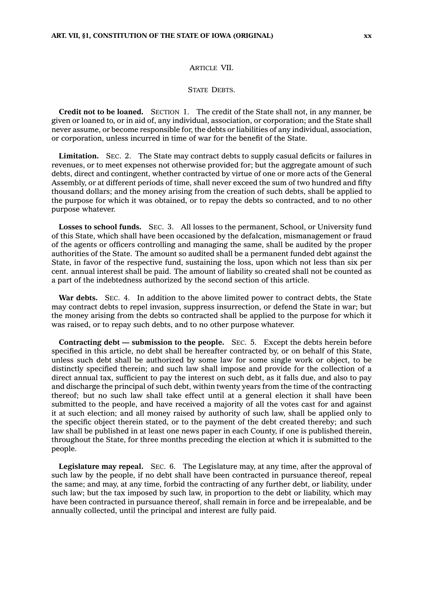### ARTICLE VII.

## **STATE DEBTS**

**Credit not to be loaned.** SECTION 1. The credit of the State shall not, in any manner, be given or loaned to, or in aid of, any individual, association, or corporation; and the State shall never assume, or become responsible for, the debts or liabilities of any individual, association, or corporation, unless incurred in time of war for the benefit of the State.

**Limitation.** SEC. 2. The State may contract debts to supply casual deficits or failures in revenues, or to meet expenses not otherwise provided for; but the aggregate amount of such debts, direct and contingent, whether contracted by virtue of one or more acts of the General Assembly, or at different periods of time, shall never exceed the sum of two hundred and fifty thousand dollars; and the money arising from the creation of such debts, shall be applied to the purpose for which it was obtained, or to repay the debts so contracted, and to no other purpose whatever.

**Losses to school funds.** SEC. 3. All losses to the permanent, School, or University fund of this State, which shall have been occasioned by the defalcation, mismanagement or fraud of the agents or officers controlling and managing the same, shall be audited by the proper authorities of the State. The amount so audited shall be <sup>a</sup> permanent funded debt against the State, in favor of the respective fund, sustaining the loss, upon which not less than six per cent. annual interest shall be paid. The amount of liability so created shall not be counted as <sup>a</sup> part of the indebtedness authorized by the second section of this article.

**War debts.** SEC. 4. In addition to the above limited power to contract debts, the State may contract debts to repel invasion, suppress insurrection, or defend the State in war; but the money arising from the debts so contracted shall be applied to the purpose for which it was raised, or to repay such debts, and to no other purpose whatever.

**Contracting debt — submission to the people.** SEC. 5. Except the debts herein before specified in this article, no debt shall be hereafter contracted by, or on behalf of this State, unless such debt shall be authorized by some law for some single work or object, to be distinctly specified therein; and such law shall impose and provide for the collection of <sup>a</sup> direct annual tax, sufficient to pay the interest on such debt, as it falls due, and also to pay and discharge the principal of such debt, within twenty years from the time of the contracting thereof; but no such law shall take effect until at <sup>a</sup> general election it shall have been submitted to the people, and have received <sup>a</sup> majority of all the votes cast for and against it at such election; and all money raised by authority of such law, shall be applied only to the specific object therein stated, or to the payment of the debt created thereby; and such law shall be published in at least one news paper in each County, if one is published therein, throughout the State, for three months preceding the election at which it is submitted to the people.

**Legislature may repeal.** SEC. 6. The Legislature may, at any time, after the approval of such law by the people, if no debt shall have been contracted in pursuance thereof, repeal the same; and may, at any time, forbid the contracting of any further debt, or liability, under such law; but the tax imposed by such law, in proportion to the debt or liability, which may have been contracted in pursuance thereof, shall remain in force and be irrepealable, and be annually collected, until the principal and interest are fully paid.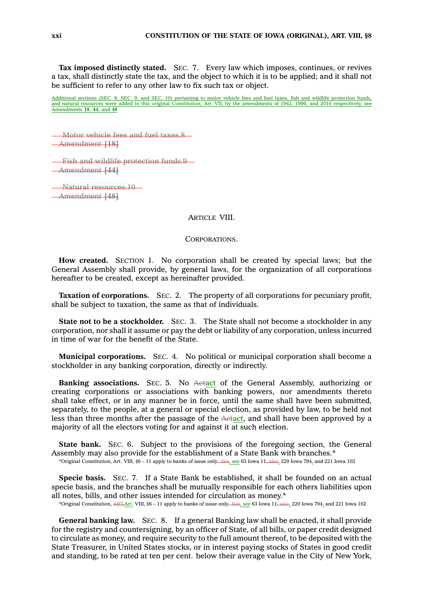**Tax imposed distinctly stated.** SEC. 7. Every law which imposes, continues, or revives <sup>a</sup> tax, shall distinctly state the tax, and the object to which it is to be applied; and it shall not be sufficient to refer to any other law to fix such tax or object.

Additional sections (SEC. 8, SEC. 9, and SEC. 10) pertaining to motor vehicle fees and fuel taxes, fish and wildlife protection funds, and natural resources were added to this original Constitution, Art. VII, by the amendments of 1942, 1996, and 2010 respectively, see Amendments **18**, **44**, and **48**

Motor vehicle fees and fuel taxes.8 Amendment **[18]**

Fish and wildlife protection funds.9 Amendment **[44]**

Natural resources.10 Amendment **[48]**

# ARTICLE VIII.

CORPORATIONS.

**How created.** SECTION 1. No corporation shall be created by special laws; but the General Assembly shall provide, by general laws, for the organization of all corporations hereafter to be created, except as hereinafter provided.

**Taxation of corporations.** SEC. 2. The property of all corporations for pecuniary profit, shall be subject to taxation, the same as that of individuals.

**State not to be <sup>a</sup> stockholder.** SEC. 3. The State shall not become <sup>a</sup> stockholder in any corporation, nor shall it assume or pay the debt or liability of any corporation, unless incurred in time of war for the benefit of the State.

**Municipal corporations.** SEC. 4. No political or municipal corporation shall become <sup>a</sup> stockholder in any banking corporation, directly or indirectly.

**Banking associations.** SEC. 5. No Actact of the General Assembly, authorizing or creating corporations or associations with banking powers, nor amendments thereto shall take effect, or in any manner be in force, until the same shall have been submitted, separately, to the people, at <sup>a</sup> general or special election, as provided by law, to be held not less than three months after the passage of the Actact, and shall have been approved by <sup>a</sup> majority of all the electors voting for and against it at such election.

**State bank.** SEC. 6. Subject to the provisions of the foregoing section, the General Assembly may also provide for the establishment of <sup>a</sup> State Bank with branches.\* \*Original Constitution, Art. VIII, §6 – 11 apply to banks of issue only. See, see 63 Iowa 11; also, 220 Iowa 794, and 221 Iowa 102

**Specie basis.** SEC. 7. If <sup>a</sup> State Bank be established, it shall be founded on an actual specie basis, and the branches shall be mutually responsible for each others liabilities upon all notes, bills, and other issues intended for circulation as money.\*

\*Original Constitution, ART.Art. VIII, §6 – 11 apply to banks of issue only. See, see 63 Iowa 11; also, 220 Iowa 794, and 221 Iowa 102

**General banking law.** SEC. 8. If <sup>a</sup> general Banking law shall be enacted, it shall provide for the registry and countersigning, by an officer of State, of all bills, or paper credit designed to circulate as money, and require security to the full amount thereof, to be deposited with the State Treasurer, in United States stocks, or in interest paying stocks of States in good credit and standing, to be rated at ten per cent. below their average value in the City of New York,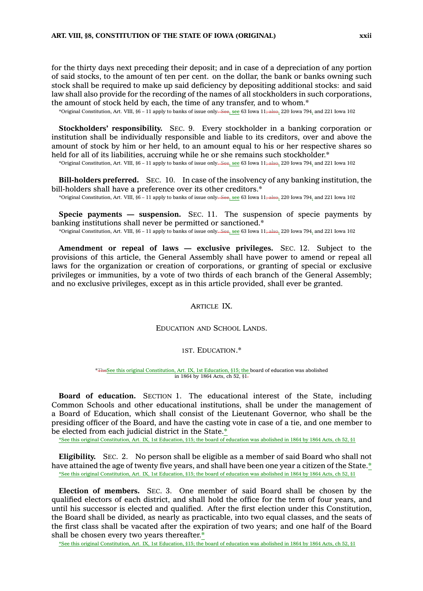for the thirty days next preceding their deposit; and in case of <sup>a</sup> depreciation of any portion of said stocks, to the amount of ten per cent. on the dollar, the bank or banks owning such stock shall be required to make up said deficiency by depositing additional stocks: and said law shall also provide for the recording of the names of all stockholders in such corporations, the amount of stock held by each, the time of any transfer, and to whom.\*

\*Original Constitution, Art. VIII, §6 – 11 apply to banks of issue only. See, see 63 Iowa 11; also, 220 Iowa 794, and 221 Iowa 102

**Stockholders' responsibility.** SEC. 9. Every stockholder in <sup>a</sup> banking corporation or institution shall be individually responsible and liable to its creditors, over and above the amount of stock by him or her held, to an amount equal to his or her respective shares so held for all of its liabilities, accruing while he or she remains such stockholder.\*

\*Original Constitution, Art. VIII, §6 – 11 apply to banks of issue only. See, see 63 Iowa 11; also, 220 Iowa 794, and 221 Iowa 102

**Bill-holders preferred.** SEC. 10. In case of the insolvency of any banking institution, the bill-holders shall have a preference over its other creditors.\*

\*Original Constitution, Art. VIII, §6 – 11 apply to banks of issue only. See, see 63 Iowa 11; also, 220 Iowa 794, and 221 Iowa 102

**Specie payments — suspension.** SEC. 11. The suspension of specie payments by banking institutions shall never be permitted or sanctioned.\*

\*Original Constitution, Art. VIII, §6 – 11 apply to banks of issue only. See, see 63 Iowa 11; also, 220 Iowa 794, and 221 Iowa 102

**Amendment or repeal of laws — exclusive privileges.** SEC. 12. Subject to the provisions of this article, the General Assembly shall have power to amend or repeal all laws for the organization or creation of corporations, or granting of special or exclusive privileges or immunities, by <sup>a</sup> vote of two thirds of each branch of the General Assembly; and no exclusive privileges, except as in this article provided, shall ever be granted.

ARTICLE IX.

EDUCATION AND SCHOOL LANDS.

1ST. EDUCATION.\*

\*TheSee this original Constitution, Art. IX, 1st Education, §15; the board of education was abolished in 1864 by 1864 Acts, ch 52, §1.

**Board of education.** SECTION 1. The educational interest of the State, including Common Schools and other educational institutions, shall be under the management of <sup>a</sup> Board of Education, which shall consist of the Lieutenant Governor, who shall be the presiding officer of the Board, and have the casting vote in case of <sup>a</sup> tie, and one member to be elected from each judicial district in the State.\*

\*See this original Constitution, Art. IX, 1st Education, §15; the board of education was abolished in 1864 by 1864 Acts, ch 52, §1

**Eligibility.** SEC. 2. No person shall be eligible as <sup>a</sup> member of said Board who shall not have attained the age of twenty five years, and shall have been one year a citizen of the State.\* \*See this original Constitution, Art. IX, 1st Education, §15; the board of education was abolished in 1864 by 1864 Acts, ch 52, §1

**Election of members.** SEC. 3. One member of said Board shall be chosen by the qualified electors of each district, and shall hold the office for the term of four years, and until his successor is elected and qualified. After the first election under this Constitution, the Board shall be divided, as nearly as practicable, into two equal classes, and the seats of the first class shall be vacated after the expiration of two years; and one half of the Board shall be chosen every two years thereafter.\*

\*See this original Constitution, Art. IX, 1st Education, §15; the board of education was abolished in 1864 by 1864 Acts, ch 52, §1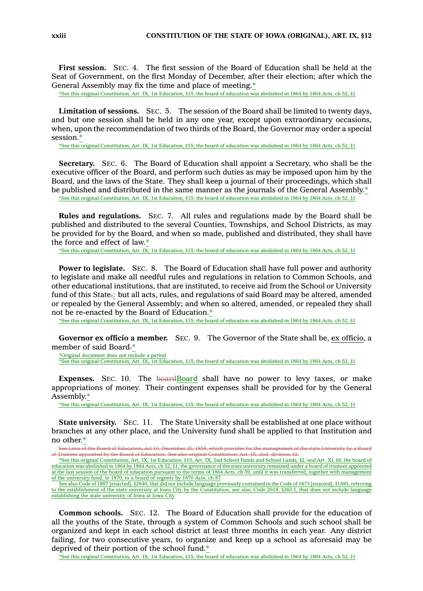**First session.** SEC. 4. The first session of the Board of Education shall be held at the Seat of Government, on the first Monday of December, after their election; after which the General Assembly may fix the time and place of meeting.\*

\*See this original Constitution, Art. IX, 1st Education, §15; the board of education was abolished in 1864 by 1864 Acts, ch 52, §1

**Limitation of sessions.** SEC. 5. The session of the Board shall be limited to twenty days, and but one session shall be held in any one year, except upon extraordinary occasions, when, upon the recommendation of two thirds of the Board, the Governor may order <sup>a</sup> special session.\*

\*See this original Constitution, Art. IX, 1st Education, §15; the board of education was abolished in 1864 by 1864 Acts, ch 52, §1

**Secretary.** SEC. 6. The Board of Education shall appoint <sup>a</sup> Secretary, who shall be the executive officer of the Board, and perform such duties as may be imposed upon him by the Board, and the laws of the State. They shall keep <sup>a</sup> journal of their proceedings, which shall be published and distributed in the same manner as the journals of the General Assembly.\* \*See this original Constitution, Art. IX, 1st Education, §15; the board of education was abolished in 1864 by 1864 Acts, ch 52, §1

**Rules and regulations.** SEC. 7. All rules and regulations made by the Board shall be published and distributed to the several Counties, Townships, and School Districts, as may be provided for by the Board, and when so made, published and distributed, they shall have the force and effect of law.\*

\*See this original Constitution, Art. IX, 1st Education, §15; the board of education was abolished in 1864 by 1864 Acts, ch 52, §1

**Power to legislate.** SEC. 8. The Board of Education shall have full power and authority to legislate and make all needful rules and regulations in relation to Common Schools, and other educational institutions, that are instituted, to receive aid from the School or University fund of this State; but all acts, rules, and regulations of said Board may be altered, amended or repealed by the General Assembly; and when so altered, amended, or repealed they shall not be re-enacted by the Board of Education.\*

\*See this original Constitution, Art. IX, 1st Education, §15; the board of education was abolished in 1864 by 1864 Acts, ch 52, §1

**Governor ex officio <sup>a</sup> member.** SEC. 9. The Governor of the State shall be, ex officio, <sup>a</sup> member of said Board.\*

\*Original document does not include <sup>a</sup> period \*See this original Constitution, Art. IX, 1st Education, §15; the board of education was abolished in 1864 by 1864 Acts, ch 52, §1

Expenses. SEC. 10. The boardBoard shall have no power to levy taxes, or make appropriations of money. Their contingent expenses shall be provided for by the General Assembly.\*

\*See this original Constitution, Art. IX, 1st Education, §15; the board of education was abolished in 1864 by 1864 Acts, ch 52, §1

**State university.** SEC. 11. The State University shall be established at one place without branches at any other place, and the University fund shall be applied to that Institution and no other.\*

See Laws of the Board of Education, Act 10, December 25, 1858, which provides for the management of the state University by <sup>a</sup> Board

**Common schools.** SEC. 12. The Board of Education shall provide for the education of all the youths of the State, through <sup>a</sup> system of Common Schools and such school shall be organized and kept in each school district at least three months in each year. Any district failing, for two consecutive years, to organize and keep up <sup>a</sup> school as aforesaid may be deprived of their portion of the school fund.\*

\*See this original Constitution, Art. IX, 1st Education, §15; the board of education was abolished in 1864 by 1864 Acts, ch 52, §1

of Trustees appointed by the Board of Education. See also original Constitution, Art. IX, 2nd. division, \$2.<br>See this original Constitution, Art. IX, 1st Education, \$15, Art. IX, 2nd School Funds and School Lands, \$2, and education was abolished in 1864 by 1864 Acts, ch 52, §1; the governance of the state university remained under <sup>a</sup> board of trustees appointed at the last session of the board of education pursuant to the terms of 1864 Acts, ch 59, until it was transferred, together with management of the university fund, in 1870, to <sup>a</sup> board of regents by 1870 Acts, ch 87

See also Code of 1897 [enacted], §2640, that did not include language previously contained in the Code of 1873 [enacted], §1585, referring to the establishment of the state university at Iowa City by the Constitution; see also, Code 2019, §263.1, that does not include language establishing the state university of Iowa at Iowa City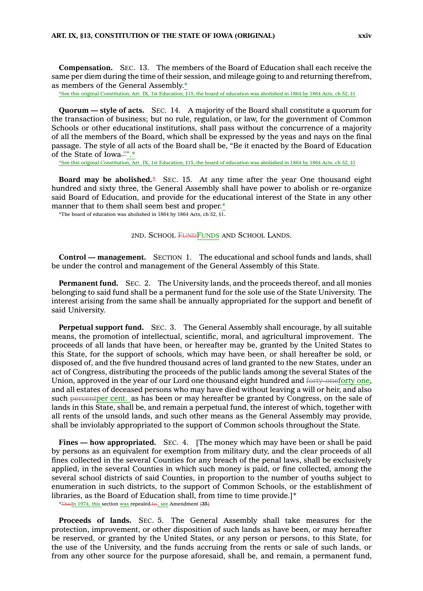**Compensation.** SEC. 13. The members of the Board of Education shall each receive the same per diem during the time of their session, and mileage going to and returning therefrom, as members of the General Assembly.\*

\*See this original Constitution, Art. IX, 1st Education, §15; the board of education was abolished in 1864 by 1864 Acts, ch 52, §1

**Quorum — style of acts.** SEC. 14. A majority of the Board shall constitute <sup>a</sup> quorum for the transaction of business; but no rule, regulation, or law, for the government of Common Schools or other educational institutions, shall pass without the concurrence of <sup>a</sup> majority of all the members of the Board, which shall be expressed by the yeas and nays on the final passage. The style of all acts of the Board shall be, "Be it enacted by the Board of Education of the State of Iowa."".\*

\*See this original Constitution, Art. IX, 1st Education, §15; the board of education was abolished in 1864 by 1864 Acts, ch 52, §1

**Board may be abolished.\*** SEC. 15. At any time after the year One thousand eight hundred and sixty three, the General Assembly shall have power to abolish or re-organize said Board of Education, and provide for the educational interest of the State in any other manner that to them shall seem best and proper.\*

\*The board of education was abolished in 1864 by 1864 Acts, ch 52,  $\S$ 1.

2ND. SCHOOL FUNDFUNDS AND SCHOOL LANDS.

**Control —management.** SECTION 1. The educational and school funds and lands, shall be under the control and management of the General Assembly of this State.

**Permanent fund.** SEC. 2. The University lands, and the proceeds thereof, and all monies belonging to said fund shall be <sup>a</sup> permanent fund for the sole use of the State University. The interest arising from the same shall be annually appropriated for the support and benefit of said University.

**Perpetual support fund.** SEC. 3. The General Assembly shall encourage, by all suitable means, the promotion of intellectual, scientific, moral, and agricultural improvement. The proceeds of all lands that have been, or hereafter may be, granted by the United States to this State, for the support of schools, which may have been, or shall hereafter be sold, or disposed of, and the five hundred thousand acres of land granted to the new States, under an act of Congress, distributing the proceeds of the public lands among the several States of the Union, approved in the year of our Lord one thousand eight hundred and forty-oneforty one, and all estates of deceased persons who may have died without leaving <sup>a</sup> will or heir, and also such percentper cent. as has been or may hereafter be granted by Congress, on the sale of lands in this State, shall be, and remain <sup>a</sup> perpetual fund, the interest of which, together with all rents of the unsold lands, and such other means as the General Assembly may provide, shall be inviolably appropriated to the support of Common schools throughout the State.

**Fines — how appropriated.** SEC. 4. [The money which may have been or shall be paid by persons as an equivalent for exemption from military duty, and the clear proceeds of all fines collected in the several Counties for any breach of the penal laws, shall be exclusively applied, in the several Counties in which such money is paid, or fine collected, among the several school districts of said Counties, in proportion to the number of youths subject to enumeration in such districts, to the support of Common Schools, or the establishment of libraries, as the Board of Education shall, from time to time provide.]\*

\*ThisIn 1974, this section was repealed by, see Amendment **[35]**

**Proceeds of lands.** SEC. 5. The General Assembly shall take measures for the protection, improvement, or other disposition of such lands as have been, or may hereafter be reserved, or granted by the United States, or any person or persons, to this State, for the use of the University, and the funds accruing from the rents or sale of such lands, or from any other source for the purpose aforesaid, shall be, and remain, <sup>a</sup> permanent fund,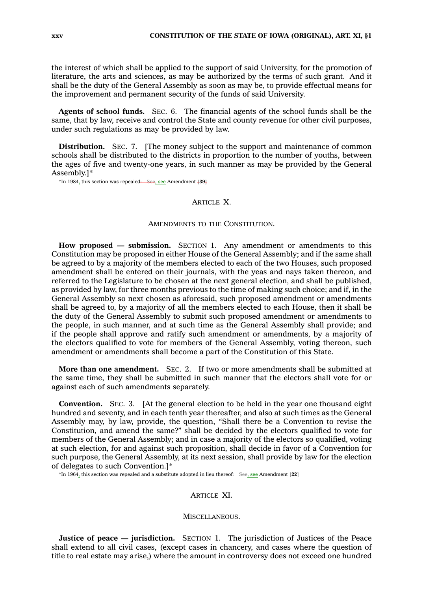the interest of which shall be applied to the support of said University, for the promotion of literature, the arts and sciences, as may be authorized by the terms of such grant. And it shall be the duty of the General Assembly as soon as may be, to provide effectual means for the improvement and permanent security of the funds of said University.

**Agents of school funds.** SEC. 6. The financial agents of the school funds shall be the same, that by law, receive and control the State and county revenue for other civil purposes, under such regulations as may be provided by law.

**Distribution.** SEC. 7. [The money subject to the support and maintenance of common schools shall be distributed to the districts in proportion to the number of youths, between the ages of five and twenty-one years, in such manner as may be provided by the General Assembly.]\*

\*In 1984, this section was repealed: See, see Amendment **[39]**

## **ARTICLE X.**

### AMENDMENTS TO THE CONSTITUTION.

**How proposed — submission.** SECTION 1. Any amendment or amendments to this Constitution may be proposed in either House of the General Assembly; and if the same shall be agreed to by <sup>a</sup> majority of the members elected to each of the two Houses, such proposed amendment shall be entered on their journals, with the yeas and nays taken thereon, and referred to the Legislature to be chosen at the next general election, and shall be published, as provided by law, for three months previous to the time of making such choice; and if, in the General Assembly so next chosen as aforesaid, such proposed amendment or amendments shall be agreed to, by <sup>a</sup> majority of all the members elected to each House, then it shall be the duty of the General Assembly to submit such proposed amendment or amendments to the people, in such manner, and at such time as the General Assembly shall provide; and if the people shall approve and ratify such amendment or amendments, by <sup>a</sup> majority of the electors qualified to vote for members of the General Assembly, voting thereon, such amendment or amendments shall become <sup>a</sup> part of the Constitution of this State.

**More than one amendment.** SEC. 2. If two or more amendments shall be submitted at the same time, they shall be submitted in such manner that the electors shall vote for or against each of such amendments separately.

**Convention.** SEC. 3. [At the general election to be held in the year one thousand eight hundred and seventy, and in each tenth year thereafter, and also at such times as the General Assembly may, by law, provide, the question, "Shall there be <sup>a</sup> Convention to revise the Constitution, and amend the same?" shall be decided by the electors qualified to vote for members of the General Assembly; and in case <sup>a</sup> majority of the electors so qualified, voting at such election, for and against such proposition, shall decide in favor of <sup>a</sup> Convention for such purpose, the General Assembly, at its next session, shall provide by law for the election of delegates to such Convention.]\*

\*In 1964, this section was repealed and <sup>a</sup> substitute adopted in lieu thereof: See, see Amendment **[22]**

### **ARTICLE XI.**

### MISCELLANEOUS.

**Justice of peace — jurisdiction.** SECTION 1. The jurisdiction of Justices of the Peace shall extend to all civil cases, (except cases in chancery, and cases where the question of title to real estate may arise,) where the amount in controversy does not exceed one hundred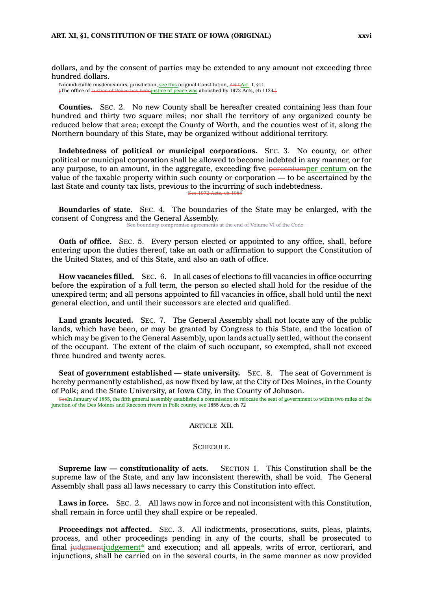dollars, and by the consent of parties may be extended to any amount not exceeding three hundred dollars.

Nonindictable misdemeanors, jurisdiction, see this original Constitution, ART.Art. I, §11<br>The office of Justice of Peace has beenjustice of peace was abolished by 1972 Acts. ch 1  $\frac{1}{\pi}$  enjustice of peace was abolished by 1972 Acts, ch 1124.]

**Counties.** SEC. 2. No new County shall be hereafter created containing less than four hundred and thirty two square miles; nor shall the territory of any organized county be reduced below that area; except the County of Worth, and the counties west of it, along the Northern boundary of this State, may be organized without additional territory.

**Indebtedness of political or municipal corporations.** SEC. 3. No county, or other political or municipal corporation shall be allowed to become indebted in any manner, or for any purpose, to an amount, in the aggregate, exceeding five percentumper centum on the value of the taxable property within such county or corporation — to be ascertained by the last State and county tax lists, previous to the incurring of such indebtedness. See 1972 Acts, ch 1088

**Boundaries of state.** SEC. 4. The boundaries of the State may be enlarged, with the consent of Congress and the General Assembly. t the end of Volume VI of the Code

**Oath of office.** SEC. 5. Every person elected or appointed to any office, shall, before entering upon the duties thereof, take an oath or affirmation to support the Constitution of the United States, and of this State, and also an oath of office.

**How vacancies filled.** SEC. 6. In all cases of elections to fill vacancies in office occurring before the expiration of <sup>a</sup> full term, the person so elected shall hold for the residue of the unexpired term; and all persons appointed to fill vacancies in office, shall hold until the next general election, and until their successors are elected and qualified.

**Land grants located.** SEC. 7. The General Assembly shall not locate any of the public lands, which have been, or may be granted by Congress to this State, and the location of which may be given to the General Assembly, upon lands actually settled, without the consent of the occupant. The extent of the claim of such occupant, so exempted, shall not exceed three hundred and twenty acres.

**Seat of government established — state university.** SEC. 8. The seat of Government is hereby permanently established, as now fixed by law, at the City of Des Moines, in the County of Polk; and the State University, at Iowa City, in the County of Johnson.

SeeIn January of 1855, the fifth general assembly established <sup>a</sup> commission to relocate the seat of government to within two miles of the junction of the Des Moines and Raccoon rivers in Polk county, see 1855 Acts, ch 72

# ARTICLE XII.

#### SCHEDULE.

**Supreme law — constitutionality of acts.** SECTION 1. This Constitution shall be the supreme law of the State, and any law inconsistent therewith, shall be void. The General Assembly shall pass all laws necessary to carry this Constitution into effect.

**Laws in force.** SEC. 2. All laws now in force and not inconsistent with this Constitution, shall remain in force until they shall expire or be repealed.

**Proceedings not affected.** SEC. 3. All indictments, prosecutions, suits, pleas, plaints, process, and other proceedings pending in any of the courts, shall be prosecuted to final judgmentjudgement\* and execution; and all appeals, writs of error, certiorari, and injunctions, shall be carried on in the several courts, in the same manner as now provided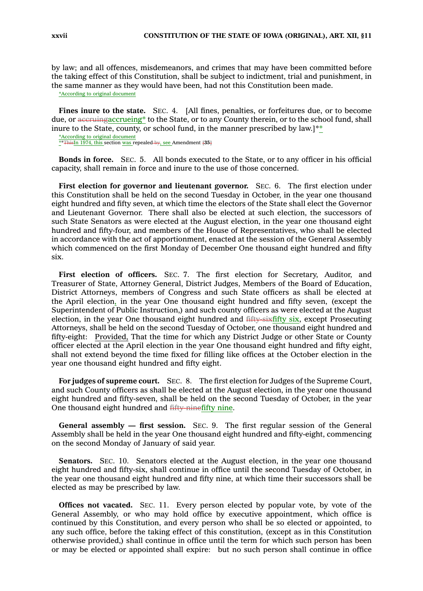by law; and all offences, misdemeanors, and crimes that may have been committed before the taking effect of this Constitution, shall be subject to indictment, trial and punishment, in the same manner as they would have been, had not this Constitution been made.

\*According to original document

**Fines inure to the state.** SEC. 4. [All fines, penalties, or forfeitures due, or to become due, or accruing accrueing<sup>\*</sup> to the State, or to any County therein, or to the school fund, shall inure to the State, county, or school fund, in the manner prescribed by law.]\*\*

\*According to original document \*\*ThisIn 1974, this section was repealed by, see Amendment **[35]**

**Bonds in force.** SEC. 5. All bonds executed to the State, or to any officer in his official capacity, shall remain in force and inure to the use of those concerned.

**First election for governor and lieutenant governor.** SEC. 6. The first election under this Constitution shall be held on the second Tuesday in October, in the year one thousand eight hundred and fifty seven, at which time the electors of the State shall elect the Governor and Lieutenant Governor. There shall also be elected at such election, the successors of such State Senators as were elected at the August election, in the year one thousand eight hundred and fifty-four, and members of the House of Representatives, who shall be elected in accordance with the act of apportionment, enacted at the session of the General Assembly which commenced on the first Monday of December One thousand eight hundred and fifty six.

**First election of officers.** SEC. 7. The first election for Secretary, Auditor, and Treasurer of State, Attorney General, District Judges, Members of the Board of Education, District Attorneys, members of Congress and such State officers as shall be elected at the April election, in the year One thousand eight hundred and fifty seven, (except the Superintendent of Public Instruction,) and such county officers as were elected at the August election, in the year One thousand eight hundred and fifty-sixfifty six, except Prosecuting Attorneys, shall be held on the second Tuesday of October, one thousand eight hundred and fifty-eight: Provided, That the time for which any District Judge or other State or County officer elected at the April election in the year One thousand eight hundred and fifty eight, shall not extend beyond the time fixed for filling like offices at the October election in the year one thousand eight hundred and fifty eight.

**For judges of supreme court.** SEC. 8. The first election for Judges of the Supreme Court, and such County officers as shall be elected at the August election, in the year one thousand eight hundred and fifty-seven, shall be held on the second Tuesday of October, in the year One thousand eight hundred and fifty-ninefifty nine.

**General assembly — first session.** SEC. 9. The first regular session of the General Assembly shall be held in the year One thousand eight hundred and fifty-eight, commencing on the second Monday of January of said year.

**Senators.** SEC. 10. Senators elected at the August election, in the year one thousand eight hundred and fifty-six, shall continue in office until the second Tuesday of October, in the year one thousand eight hundred and fifty nine, at which time their successors shall be elected as may be prescribed by law.

**Offices not vacated.** SEC. 11. Every person elected by popular vote, by vote of the General Assembly, or who may hold office by executive appointment, which office is continued by this Constitution, and every person who shall be so elected or appointed, to any such office, before the taking effect of this constitution, (except as in this Constitution otherwise provided,) shall continue in office until the term for which such person has been or may be elected or appointed shall expire: but no such person shall continue in office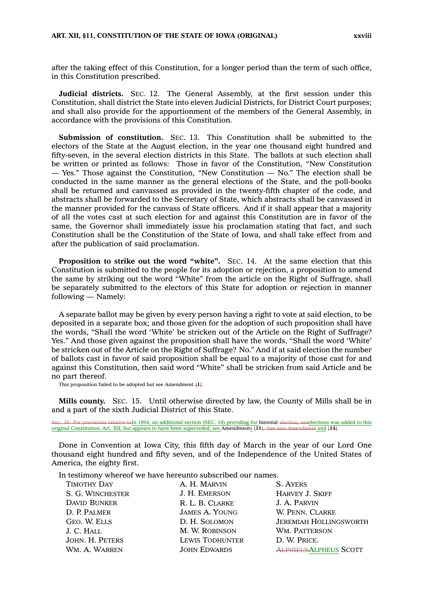after the taking effect of this Constitution, for <sup>a</sup> longer period than the term of such office, in this Constitution prescribed.

**Judicial districts.** SEC. 12. The General Assembly, at the first session under this Constitution, shall district the State into eleven Judicial Districts, for District Court purposes; and shall also provide for the apportionment of the members of the General Assembly, in accordance with the provisions of this Constitution.

**Submission of constitution.** SEC. 13. This Constitution shall be submitted to the electors of the State at the August election, in the year one thousand eight hundred and fifty-seven, in the several election districts in this State. The ballots at such election shall be written or printed as follows: Those in favor of the Constitution, "New Constitution — Yes." Those against the Constitution, "New Constitution — No." The election shall be conducted in the same manner as the general elections of the State, and the poll-books shall be returned and canvassed as provided in the twenty-fifth chapter of the code, and abstracts shall be forwarded to the Secretary of State, which abstracts shall be canvassed in the manner provided for the canvass of State officers. And if it shall appear that <sup>a</sup> majority of all the votes cast at such election for and against this Constitution are in favor of the same, the Governor shall immediately issue his proclamation stating that fact, and such Constitution shall be the Constitution of the State of Iowa, and shall take effect from and after the publication of said proclamation.

**Proposition to strike out the word "white".** SEC. 14. At the same election that this Constitution is submitted to the people for its adoption or rejection, <sup>a</sup> proposition to amend the same by striking out the word "White" from the article on the Right of Suffrage, shall be separately submitted to the electors of this State for adoption or rejection in manner following — Namely:

A separate ballot may be given by every person having <sup>a</sup> right to vote at said election, to be deposited in <sup>a</sup> separate box; and those given for the adoption of such proposition shall have the words, "Shall the word 'White' be stricken out of the Article on the Right of Suffrage? Yes." And those given against the proposition shall have the words, "Shall the word 'White' be stricken out of the Article on the Right of Suffrage? No." And if at said election the number of ballots cast in favor of said proposition shall be equal to <sup>a</sup> majority of those cast for and against this Constitution, then said word "White" shall be stricken from said Article and be no part thereof.

This proposition failed to be adopted but see Amendment **[1]**

**Mills county.** SEC. 15. Until otherwise directed by law, the County of Mills shall be in and <sup>a</sup> part of the sixth Judicial District of this State.

ative toIn 1904, an additional section (SEC. 16) providing for biennial election, seeelections was added to this original Constitution, Art. XII, but appears to have been superseded, see Amendments **[11]**: See also Amendment and **[14]**

Done in Convention at Iowa City, this fifth day of March in the year of our Lord One thousand eight hundred and fifty seven, and of the Independence of the United States of America, the eighty first.

In testimony whereof we have hereunto subscribed our names.

| <b>TIMOTHY DAY</b>  | A. H. MARVIN           | <b>S-AYERS</b>                |
|---------------------|------------------------|-------------------------------|
| S. G. WINCHESTER    | J. H. EMERSON          | <b>HARVEY J. SKIFF</b>        |
| <b>DAVID BUNKER</b> | R. L. B. CLARKE        | J. A. PARVIN                  |
| D. P. PALMER        | <b>JAMES A-YOUNG</b>   | W. PENN. CLARKE               |
| GEO. W. ELLS        | D. H. SOLOMON          | <b>JEREMIAH HOLLINGSWORTH</b> |
| J. C. HALL          | M. W. ROBINSON         | WM. PATTERSON                 |
| JOHN. H. PETERS     | <b>LEWIS TODHUNTER</b> | D. W. PRICE.                  |
| WM. A. WARREN       | <b>JOHN EDWARDS</b>    | <b>ALPHIEUSALPHEUS SCOTT</b>  |
|                     |                        |                               |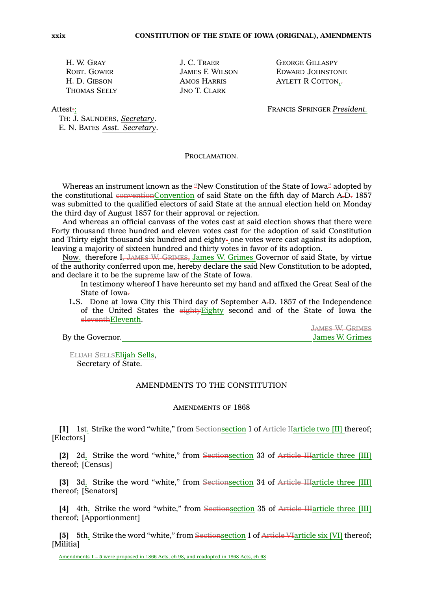THOMAS SEELY JNO T. CLARK

H. W. GRAY J. C. TRAER GEORGE GILLASPY ROBT. GOWER **JAMES F. WILSON** EDWARD JOHNSTONE H<sub>r</sub> D. GIBSON **AMOS HARRIS** AYLETT R COTTON<sub>1</sub>,

Attest:; FRANCIS SPRINGER *President.*

TH: J. SAUNDERS, *Secretary*. E. N. BATES *Asst. Secretary*.

PROCLAMATION.

Whereas an instrument known as the "New Constitution of the State of Iowa" adopted by the constitutional conventionConvention of said State on the fifth day of March  $A<sub>r</sub>D<sub>r</sub>$  1857 was submitted to the qualified electors of said State at the annual election held on Monday the third day of August 1857 for their approval or rejection.

And whereas an official canvass of the votes cast at said election shows that there were Forty thousand three hundred and eleven votes cast for the adoption of said Constitution and Thirty eight thousand six hundred and eighty- one votes were cast against its adoption, leaving <sup>a</sup> majority of sixteen hundred and thirty votes in favor of its adoption.

Now. therefore I, JAMES W. GRIMES, James W. Grimes Governor of said State, by virtue of the authority conferred upon me, hereby declare the said New Constitution to be adopted, and declare it to be the supreme law of the State of Iowa.

In testimony whereof I have hereunto set my hand and affixed the Great Seal of the State of Iowa-

L.S. Done at Iowa City this Third day of September A.D. 1857 of the Independence of the United States the eightyEighty second and of the State of Iowa the eleventhEleventh.

JAMES W. GRIMES By the Governor. **IDENTIFY STATES By the Governor.** James W. Grimes

ELIJAH SELLSElijah Sells, Secretary of State.

### AMENDMENTS TO THE CONSTITUTION

### AMENDMENTS OF 1868

**[1]** 1st. Strike the word "white," from Sectionsection 1 of Article IIarticle two [II] thereof; [Electors]

**[2]** 2d. Strike the word "white," from Sectionsection 33 of Article IIIarticle three [III] thereof; [Census]

**[3]** 3d. Strike the word "white," from Sectionsection 34 of Article IIIarticle three [III] thereof; [Senators]

**[4]** 4th. Strike the word "white," from Sectionsection 35 of Article IIIarticle three [III] thereof; [Apportionment]

**[5]** 5th. Strike the word "white," from Sectionsection 1 of Article VIarticle six [VI] thereof; [Militia]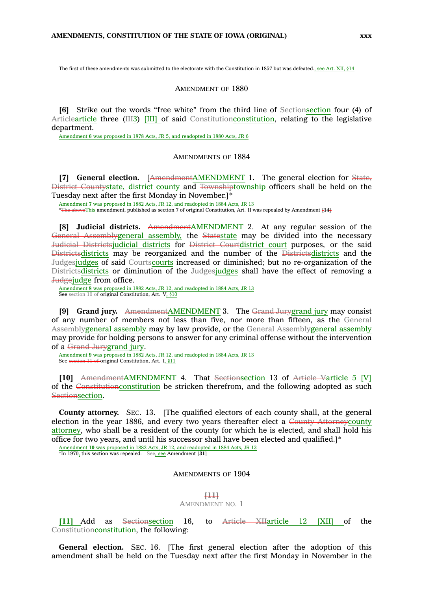The first of these amendments was submitted to the electorate with the Constitution in 1857 but was defeated-, see Art. XII, §14

#### AMENDMENT OF 1880

**[6]** Strike out the words "free white" from the third line of Sectionsection four (4) of Articlearticle three (III3) [III] of said Constitutionconstitution, relating to the legislative department.

Amendment **6** was proposed in 1878 Acts, JR 5, and readopted in 1880 Acts, JR 6

### AMENDMENTS OF 1884

**[7] General election.** [AmendmentAMENDMENT 1. The general election for State, District Countystate, district county and Townshiptownship officers shall be held on the Tuesday next after the first Monday in November.]\*

Amendment **7** was proposed in 1882 Acts, JR 12, and readopted in 1884 Acts, JR 13  $x \in$ This amendment, published as section 7 of original Constitution, Art. II was repealed by Amendment  $\{14\}$ 

**[8] Judicial districts.** AmendmentAMENDMENT 2. At any regular session of the General Assemblygeneral assembly, the Statestate may be divided into the necessary Judicial Districtsjudicial districts for District Courtdistrict court purposes, or the said Districtsdistricts may be reorganized and the number of the Districtsdistricts and the Judgesjudges of said Courtscourts increased or diminished; but no re-organization of the Districtsdistricts or diminution of the Judgesjudges shall have the effect of removing <sup>a</sup> Judgejudge from office.

Amendment **8** was proposed in 1882 Acts, JR 12, and readopted in 1884 Acts, JR 13 See section 10 of original Constitution, Art. V, §10

**[9] Grand jury.** AmendmentAMENDMENT 3. The Grand Jurygrand jury may consist of any number of members not less than five, nor more than fifteen, as the General Assemblygeneral assembly may by law provide, or the General Assemblygeneral assembly may provide for holding persons to answer for any criminal offense without the intervention of <sup>a</sup> Grand Jurygrand jury.

Amendment **9** was proposed in 1882 Acts, JR 12, and readopted in 1884 Acts, JR 13 See section 11 of original Constitution, Art. I, §11

**[10]** AmendmentAMENDMENT 4. That Sectionsection 13 of Article Varticle 5 [V] of the Constitutionconstitution be stricken therefrom, and the following adopted as such Sectionsection.

**County attorney.** SEC. 13. [The qualified electors of each county shall, at the general election in the year 1886, and every two years thereafter elect <sup>a</sup> County Attorneycounty attorney, who shall be <sup>a</sup> resident of the county for which he is elected, and shall hold his office for two years, and until his successor shall have been elected and qualified.]\*

Amendment **10** was proposed in 1882 Acts, JR 12, and readopted in 1884 Acts, JR 13 \*In 1970, this section was repealed: See, see Amendment **[31]**

# AMENDMENTS OF 1904

#### **[11]**

#### AMENDMENT NO. 1

**[11]** Add as Sectionsection 16, to Article XIIarticle 12 [XII] of the Constitutionconstitution, the following:

**General election.** SEC. 16. [The first general election after the adoption of this amendment shall be held on the Tuesday next after the first Monday in November in the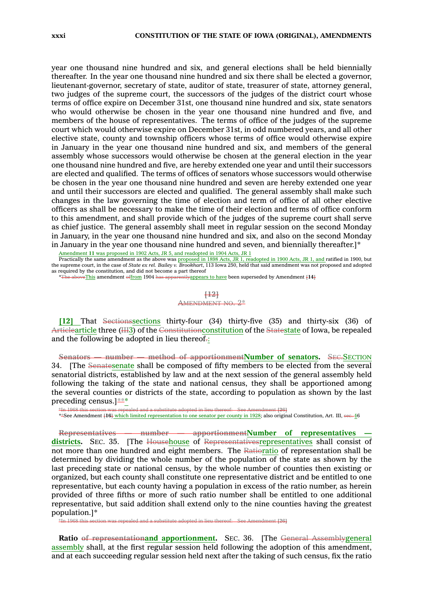year one thousand nine hundred and six, and general elections shall be held biennially thereafter. In the year one thousand nine hundred and six there shall be elected <sup>a</sup> governor, lieutenant-governor, secretary of state, auditor of state, treasurer of state, attorney general, two judges of the supreme court, the successors of the judges of the district court whose terms of office expire on December 31st, one thousand nine hundred and six, state senators who would otherwise be chosen in the year one thousand nine hundred and five, and members of the house of representatives. The terms of office of the judges of the supreme court which would otherwise expire on December 31st, in odd numbered years, and all other elective state, county and township officers whose terms of office would otherwise expire in January in the year one thousand nine hundred and six, and members of the general assembly whose successors would otherwise be chosen at the general election in the year one thousand nine hundred and five, are hereby extended one year and until their successors are elected and qualified. The terms of offices of senators whose successors would otherwise be chosen in the year one thousand nine hundred and seven are hereby extended one year and until their successors are elected and qualified. The general assembly shall make such changes in the law governing the time of election and term of office of all other elective officers as shall be necessary to make the time of their election and terms of office conform to this amendment, and shall provide which of the judges of the supreme court shall serve as chief justice. The general assembly shall meet in regular session on the second Monday in January, in the year one thousand nine hundred and six, and also on the second Monday in January in the year one thousand nine hundred and seven, and biennially thereafter.]\*

<u>Amendment 11 was proposed in 1902 Acts, JR 5, and readopted in 1904 Acts, JR 1<br>Practically the same amendment as the above was proposed in 1898 Acts, JR 1, readopted in 1900 Acts, JR 1, and ratified in 1900, but</u> the supreme court, in the case of *State ex rel. Bailey v. Brookhart*, 113 Iowa 250, held that said amendment was not proposed and adopted as required by the constitution, and did not become <sup>a</sup> part thereof

\*The aboveThis amendment offrom 1904 has apparentlyappears to have been superseded by Amendment **[14]**

### **[12]** AMENDMENT NO. 2\*

**[12]** That Sectionssections thirty-four (34) thirty-five (35) and thirty-six (36) of Articlearticle three (III3) of the Constitutionconstitution of the Statestate of Iowa, be repealed and the following be adopted in lieu thereof.:

**Senators — number — method of apportionmentNumber of senators.** SEC.SECTION 34. [The Senatesenate shall be composed of fifty members to be elected from the several senatorial districts, established by law and at the next session of the general assembly held following the taking of the state and national census, they shall be apportioned among the several counties or districts of the state, according to population as shown by the last preceding census.]\*\*\*

\*In 1968 this section was repealed and a substitute adopted in lieu thereof:—See Amendment [26]<br>\*\*See Amendment {1**6**} <u>which limited representation to one senator per county in 1928; also original Constitution, Art. III, </u>

**Representatives — number — apportionmentNumber of representatives districts.** SEC. 35. [The Househouse of Representativesrepresentatives shall consist of not more than one hundred and eight members. The Ratioratio of representation shall be determined by dividing the whole number of the population of the state as shown by the last preceding state or national census, by the whole number of counties then existing or organized, but each county shall constitute one representative district and be entitled to one representative, but each county having <sup>a</sup> population in excess of the ratio number, as herein provided of three fifths or more of such ratio number shall be entitled to one additional representative, but said addition shall extend only to the nine counties having the greatest population.]\*

\*In 1968 this section was repealed and <sup>a</sup> substitute adopted in lieu thereof: See Amendment **[26]**

**Ratio of representationand apportionment.** SEC. 36. [The General Assemblygeneral assembly shall, at the first regular session held following the adoption of this amendment, and at each succeeding regular session held next after the taking of such census, fix the ratio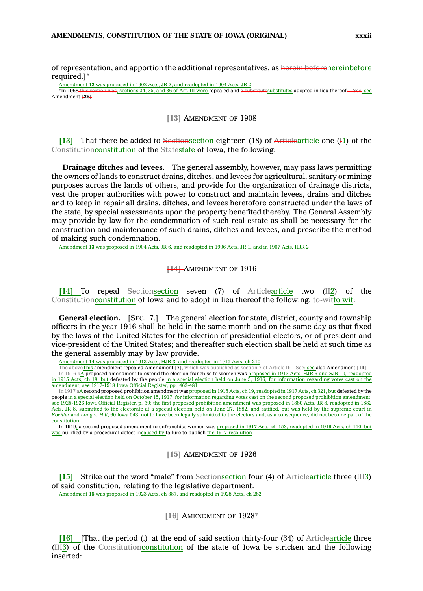of representation, and apportion the additional representatives, as herein beforehereinbefore required.]\*

Amendment 12 was proposed in 1902 Acts, JR 2, and readopted in 1904 Acts, JR 2<br>\*In 1968 this section was, sections 34, 35, and 36 of Art. III were repealed and a substitutes ubstitutes adopted in lieu thereof: See, see  $\frac{1}{18}$ , sections 34, 35, and 36 of Art. III were repealed and  $\frac{1}{18}$ Amendment **[26]**

#### **[13]** AMENDMENT OF 1908

**[13]** That there be added to Sectionsection eighteen (18) of Articlearticle one (I1) of the Constitutionconstitution of the Statestate of Iowa, the following:

**Drainage ditches and levees.** The general assembly, however, may pass laws permitting the owners of lands to construct drains, ditches, and levees for agricultural, sanitary or mining purposes across the lands of others, and provide for the organization of drainage districts, vest the proper authorities with power to construct and maintain levees, drains and ditches and to keep in repair all drains, ditches, and levees heretofore constructed under the laws of the state, by special assessments upon the property benefited thereby. The General Assembly may provide by law for the condemnation of such real estate as shall be necessary for the construction and maintenance of such drains, ditches and levees, and prescribe the method of making such condemnation.

Amendment **13** was proposed in 1904 Acts, JR 6, and readopted in 1906 Acts, JR 1, and in 1907 Acts, HJR 2

#### **[14]** AMENDMENT OF 1916

**[14]** To repeal Sectionsection seven (7) of Articlearticle two (II2) of the Constitutionconstitution of Iowa and to adopt in lieu thereof the following, to-witto wit:

**General election.** [SEC. 7.] The general election for state, district, county and township officers in the year 1916 shall be held in the same month and on the same day as that fixed by the laws of the United States for the election of presidential electors, or of president and vice-president of the United States; and thereafter such election shall be held at such time as the general assembly may by law provide.

Amendment **14** was proposed in 1913 Acts, HJR 3, and readopted in 1915 Acts, ch 210

The aboveThis amendment repealed Amendment **[7]**, which was published as section 7 of Article II: See; see also Amendment **[11]** In 1916 a $\triangle$  proposed amendment to extend the election franchise to women was proposed in 1913 Acts, HJR 6 and SJR 10, readopted in 1915 Acts, ch 18, but defeated by the people in <sup>a</sup> special election held on June 5, 1916; for information regarding votes cast on the amendment, see 1917-1918 Iowa Official Register, pp. 462-481

In 1917 a<sub>2</sub> second proposed prohibition amendment was proposed in 1915 Acts, ch 19, readopted in 1917 Acts, ch 321, but defeated by the people in <sup>a</sup> special election held on October 15, 1917; for information regarding votes cast on the second proposed prohibition amendment, see 1925-1926 Iowa Official Register, p. 39; the first proposed prohibition amendment was proposed in 1880 Acts, JR 8, readopted in 1882 Acts, JR 8, submitted to the electorate at <sup>a</sup> special election held on June 27, 1882, and ratified, but was held by the supreme court in *Koehler* and *Lang v. Hill*, 60 Iowa 543, not to have been legally submitted to the electors and, as <sup>a</sup> consequence, did not become part of the constitution

In 1919, <sup>a</sup> second proposed amendment to enfranchise women was proposed in 1917 Acts, ch 153, readopted in 1919 Acts, ch 110, but was nullified by a procedural defect incaused by failure to publish the 1917 resolution

### **[15]** AMENDMENT OF 1926

**[15]** Strike out the word "male" from Sectionsection four (4) of Articlearticle three (III3) of said constitution, relating to the legislative department. Amendment **15** was proposed in 1923 Acts, ch 387, and readopted in 1925 Acts, ch 282

#### **[16]** AMENDMENT OF 1928\*

**[16]** [That the period (.) at the end of said section thirty-four (34) of Articlearticle three (III3) of the Constitutionconstitution of the state of Iowa be stricken and the following inserted: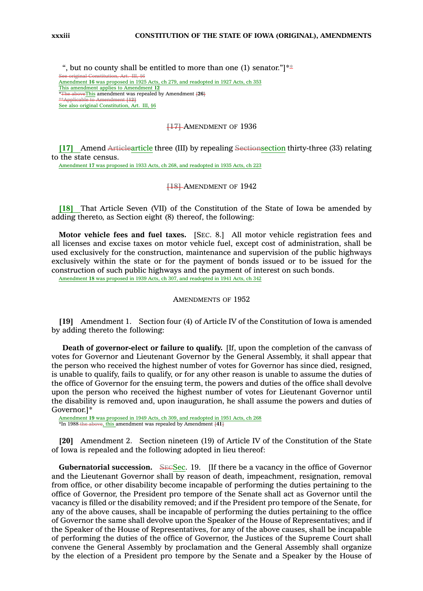", but no county shall be entitled to more than one (1) senator."

See original Constitution, Art. III, §6 Amendment **16** was proposed in 1925 Acts, ch 279, and readopted in 1927 Acts, ch 353 This amendment applies to Amendment **12** \*The aboveThis amendment was repealed by Amendment **[26]** \*\*Applicable to Amendment **[12]** See also original Constitution, Art. III, §6

### **[17]** AMENDMENT OF 1936

**[17]** Amend Articlearticle three (III) by repealing Sectionsection thirty-three (33) relating to the state census.

Amendment **17** was proposed in 1933 Acts, ch 268, and readopted in 1935 Acts, ch 223

### **[18]** AMENDMENT OF 1942

**[18]** That Article Seven (VII) of the Constitution of the State of Iowa be amended by adding thereto, as Section eight (8) thereof, the following:

**Motor vehicle fees and fuel taxes.** [SEC. 8.] All motor vehicle registration fees and all licenses and excise taxes on motor vehicle fuel, except cost of administration, shall be used exclusively for the construction, maintenance and supervision of the public highways exclusively within the state or for the payment of bonds issued or to be issued for the construction of such public highways and the payment of interest on such bonds.

Amendment **18** was proposed in 1939 Acts, ch 307, and readopted in 1941 Acts, ch 342

### AMENDMENTS OF 1952

**[19]** Amendment 1. Section four (4) of Article IV of the Constitution of Iowa is amended by adding thereto the following:

**Death of governor-elect or failure to qualify.** [If, upon the completion of the canvass of votes for Governor and Lieutenant Governor by the General Assembly, it shall appear that the person who received the highest number of votes for Governor has since died, resigned, is unable to qualify, fails to qualify, or for any other reason is unable to assume the duties of the office of Governor for the ensuing term, the powers and duties of the office shall devolve upon the person who received the highest number of votes for Lieutenant Governor until the disability is removed and, upon inauguration, he shall assume the powers and duties of Governor.]\*

Amendment **19** was proposed in 1949 Acts, ch 309, and readopted in 1951 Acts, ch 268 \*In 1988 the above, this amendment was repealed by Amendment **[41]**

**[20]** Amendment 2. Section nineteen (19) of Article IV of the Constitution of the State of Iowa is repealed and the following adopted in lieu thereof:

**Gubernatorial succession.** SECSEC. 19. [If there be a vacancy in the office of Governor and the Lieutenant Governor shall by reason of death, impeachment, resignation, removal from office, or other disability become incapable of performing the duties pertaining to the office of Governor, the President pro tempore of the Senate shall act as Governor until the vacancy is filled or the disability removed; and if the President pro tempore of the Senate, for any of the above causes, shall be incapable of performing the duties pertaining to the office of Governor the same shall devolve upon the Speaker of the House of Representatives; and if the Speaker of the House of Representatives, for any of the above causes, shall be incapable of performing the duties of the office of Governor, the Justices of the Supreme Court shall convene the General Assembly by proclamation and the General Assembly shall organize by the election of <sup>a</sup> President pro tempore by the Senate and <sup>a</sup> Speaker by the House of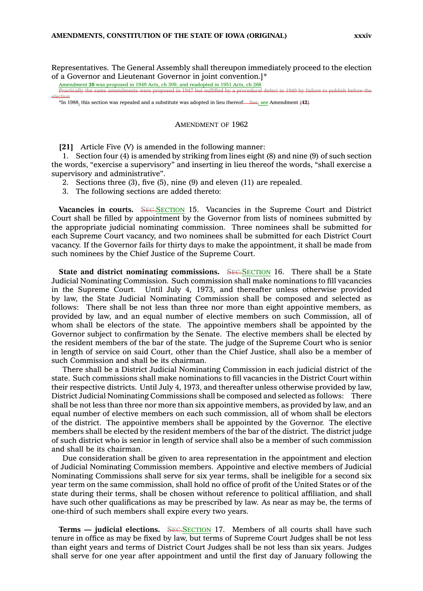Representatives. The General Assembly shall thereupon immediately proceed to the election of <sup>a</sup> Governor and Lieutenant Governor in joint convention.]\*

Amendment **20** was proposed in 1949 Acts, ch 309, and readopted in 1951 Acts, ch 268

election

Practically the same amendments were proposed in 1947 but nullified by <sup>a</sup> procedural defect in 1949 by failure to publish before the

\*In 1988, this section was repealed and <sup>a</sup> substitute was adopted in lieu thereof: See, see Amendment **[42]**

### AMENDMENT OF 1962

**[21]** Article Five (V) is amended in the following manner:

1. Section four (4) is amended by striking from lines eight (8) and nine (9) of such section the words, "exercise <sup>a</sup> supervisory" and inserting in lieu thereof the words, "shall exercise <sup>a</sup> supervisory and administrative".

- 2. Sections three (3), five (5), nine (9) and eleven (11) are repealed.
- 3. The following sections are added thereto:

**Vacancies in courts.** SEC.SECTION 15. Vacancies in the Supreme Court and District Court shall be filled by appointment by the Governor from lists of nominees submitted by the appropriate judicial nominating commission. Three nominees shall be submitted for each Supreme Court vacancy, and two nominees shall be submitted for each District Court vacancy. If the Governor fails for thirty days to make the appointment, it shall be made from such nominees by the Chief Justice of the Supreme Court.

**State and district nominating commissions.** SEC.SECTION 16. There shall be <sup>a</sup> State Judicial Nominating Commission. Such commission shall make nominations to fill vacancies in the Supreme Court. Until July 4, 1973, and thereafter unless otherwise provided by law, the State Judicial Nominating Commission shall be composed and selected as follows: There shall be not less than three nor more than eight appointive members, as provided by law, and an equal number of elective members on such Commission, all of whom shall be electors of the state. The appointive members shall be appointed by the Governor subject to confirmation by the Senate. The elective members shall be elected by the resident members of the bar of the state. The judge of the Supreme Court who is senior in length of service on said Court, other than the Chief Justice, shall also be <sup>a</sup> member of such Commission and shall be its chairman.

There shall be <sup>a</sup> District Judicial Nominating Commission in each judicial district of the state. Such commissions shall make nominations to fill vacancies in the District Court within their respective districts. Until July 4, 1973, and thereafter unless otherwise provided by law, District Judicial Nominating Commissions shall be composed and selected as follows: There shall be not less than three nor more than six appointive members, as provided by law, and an equal number of elective members on each such commission, all of whom shall be electors of the district. The appointive members shall be appointed by the Governor. The elective members shall be elected by the resident members of the bar of the district. The district judge of such district who is senior in length of service shall also be <sup>a</sup> member of such commission and shall be its chairman.

Due consideration shall be given to area representation in the appointment and election of Judicial Nominating Commission members. Appointive and elective members of Judicial Nominating Commissions shall serve for six year terms, shall be ineligible for <sup>a</sup> second six year term on the same commission, shall hold no office of profit of the United States or of the state during their terms, shall be chosen without reference to political affiliation, and shall have such other qualifications as may be prescribed by law. As near as may be, the terms of one-third of such members shall expire every two years.

**Terms** — **judicial elections.** SEC.SECTION 17. Members of all courts shall have such tenure in office as may be fixed by law, but terms of Supreme Court Judges shall be not less than eight years and terms of District Court Judges shall be not less than six years. Judges shall serve for one year after appointment and until the first day of January following the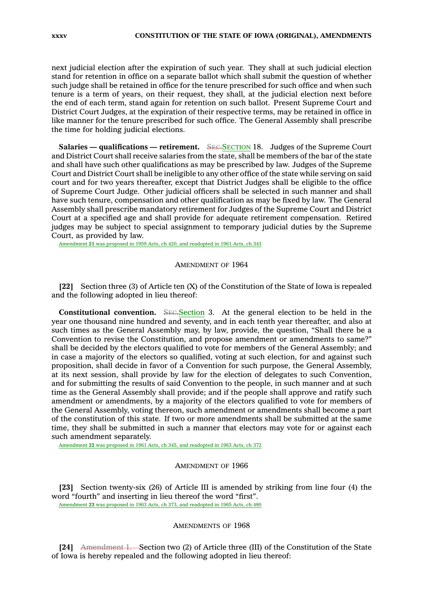next judicial election after the expiration of such year. They shall at such judicial election stand for retention in office on <sup>a</sup> separate ballot which shall submit the question of whether such judge shall be retained in office for the tenure prescribed for such office and when such tenure is <sup>a</sup> term of years, on their request, they shall, at the judicial election next before the end of each term, stand again for retention on such ballot. Present Supreme Court and District Court Judges, at the expiration of their respective terms, may be retained in office in like manner for the tenure prescribed for such office. The General Assembly shall prescribe the time for holding judicial elections.

**Salaries — qualifications — retirement.** SEC.SECTION 18. Judges of the Supreme Court and District Court shall receive salaries from the state, shall be members of the bar of the state and shall have such other qualifications as may be prescribed by law. Judges of the Supreme Court and District Court shall be ineligible to any other office of the state while serving on said court and for two years thereafter, except that District Judges shall be eligible to the office of Supreme Court Judge. Other judicial officers shall be selected in such manner and shall have such tenure, compensation and other qualification as may be fixed by law. The General Assembly shall prescribe mandatory retirement for Judges of the Supreme Court and District Court at <sup>a</sup> specified age and shall provide for adequate retirement compensation. Retired judges may be subject to special assignment to temporary judicial duties by the Supreme Court, as provided by law.

Amendment **21** was proposed in 1959 Acts, ch 420, and readopted in 1961 Acts, ch 343

### AMENDMENT OF 1964

**[22]** Section three (3) of Article ten (X) of the Constitution of the State of Iowa is repealed and the following adopted in lieu thereof:

**Constitutional convention.** SEC. Section 3. At the general election to be held in the year one thousand nine hundred and seventy, and in each tenth year thereafter, and also at such times as the General Assembly may, by law, provide, the question, "Shall there be <sup>a</sup> Convention to revise the Constitution, and propose amendment or amendments to same?" shall be decided by the electors qualified to vote for members of the General Assembly; and in case <sup>a</sup> majority of the electors so qualified, voting at such election, for and against such proposition, shall decide in favor of <sup>a</sup> Convention for such purpose, the General Assembly, at its next session, shall provide by law for the election of delegates to such Convention, and for submitting the results of said Convention to the people, in such manner and at such time as the General Assembly shall provide; and if the people shall approve and ratify such amendment or amendments, by <sup>a</sup> majority of the electors qualified to vote for members of the General Assembly, voting thereon, such amendment or amendments shall become <sup>a</sup> part of the constitution of this state. If two or more amendments shall be submitted at the same time, they shall be submitted in such <sup>a</sup> manner that electors may vote for or against each such amendment separately.

Amendment **22** was proposed in 1961 Acts, ch 345, and readopted in 1963 Acts, ch 372

### AMENDMENT OF 1966

**[23]** Section twenty-six (26) of Article III is amended by striking from line four (4) the word "fourth" and inserting in lieu thereof the word "first". Amendment **23** was proposed in 1963 Acts, ch 373, and readopted in 1965 Acts, ch 480

# AMENDMENTS OF 1968

**[24]** Amendment 1. Section two (2) of Article three (III) of the Constitution of the State of Iowa is hereby repealed and the following adopted in lieu thereof: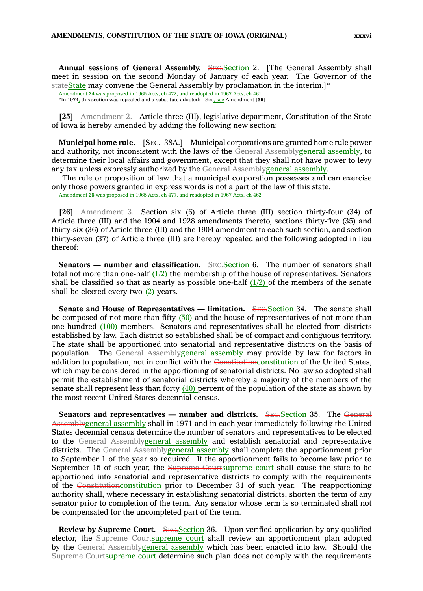**Annual sessions of General Assembly.** SEC.Section 2. [The General Assembly shall meet in session on the second Monday of January of each year. The Governor of the stateState may convene the General Assembly by proclamation in the interim.]\*

**[25]** Amendment 2. Article three (III), legislative department, Constitution of the State of Iowa is hereby amended by adding the following new section:

**Municipal home rule.** [SEC. 38A.] Municipal corporations are granted home rule power and authority, not inconsistent with the laws of the General Assemblygeneral assembly, to determine their local affairs and government, except that they shall not have power to levy any tax unless expressly authorized by the General Assemblygeneral assembly.

The rule or proposition of law that <sup>a</sup> municipal corporation possesses and can exercise only those powers granted in express words is not <sup>a</sup> part of the law of this state.

Amendment **25** was proposed in 1965 Acts, ch 477, and readopted in 1967 Acts, ch 462

**[26]** Amendment 3. Section six (6) of Article three (III) section thirty-four (34) of Article three (III) and the 1904 and 1928 amendments thereto, sections thirty-five (35) and thirty-six (36) of Article three (III) and the 1904 amendment to each such section, and section thirty-seven (37) of Article three (III) are hereby repealed and the following adopted in lieu thereof:

**Senators** — **number** and **classification.** SEC. Section 6. The number of senators shall total not more than one-half  $(1/2)$  the membership of the house of representatives. Senators shall be classified so that as nearly as possible one-half  $(1/2)$  of the members of the senate shall be elected every two (2) years.

**Senate and House of Representatives — limitation.** SEC.Section 34. The senate shall be composed of not more than fifty  $(50)$  and the house of representatives of not more than one hundred (100) members. Senators and representatives shall be elected from districts established by law. Each district so established shall be of compact and contiguous territory. The state shall be apportioned into senatorial and representative districts on the basis of population. The General Assemblygeneral assembly may provide by law for factors in addition to population, not in conflict with the Constitutionconstitution of the United States, which may be considered in the apportioning of senatorial districts. No law so adopted shall permit the establishment of senatorial districts whereby <sup>a</sup> majority of the members of the senate shall represent less than forty (40) percent of the population of the state as shown by the most recent United States decennial census.

**Senators** and **representatives** — **number** and districts. SEC.Section 35. The General Assemblygeneral assembly shall in 1971 and in each year immediately following the United States decennial census determine the number of senators and representatives to be elected to the General Assemblygeneral assembly and establish senatorial and representative districts. The General Assemblygeneral assembly shall complete the apportionment prior to September 1 of the year so required. If the apportionment fails to become law prior to September 15 of such year, the Supreme Courtsupreme court shall cause the state to be apportioned into senatorial and representative districts to comply with the requirements of the Constitutionconstitution prior to December 31 of such year. The reapportioning authority shall, where necessary in establishing senatorial districts, shorten the term of any senator prior to completion of the term. Any senator whose term is so terminated shall not be compensated for the uncompleted part of the term.

**Review by Supreme Court.** SEC.Section 36. Upon verified application by any qualified elector, the Supreme Courtsupreme court shall review an apportionment plan adopted by the General Assemblygeneral assembly which has been enacted into law. Should the Supreme Courtsupreme court determine such plan does not comply with the requirements

Amendment **24** was proposed in 1965 Acts, ch 472, and readopted in 1967 Acts, ch 461 \*In 1974, this section was repealed and <sup>a</sup> substitute adopted: See, see Amendment **[36]**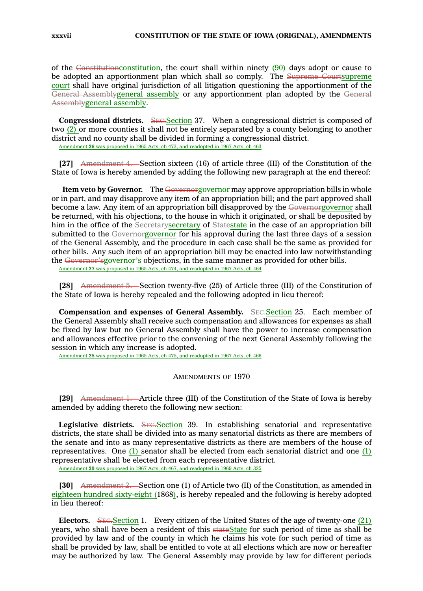of the Constitutionconstitution, the court shall within ninety  $(90)$  days adopt or cause to be adopted an apportionment plan which shall so comply. The Supreme Courtsupreme court shall have original jurisdiction of all litigation questioning the apportionment of the General Assemblygeneral assembly or any apportionment plan adopted by the General Assemblygeneral assembly.

**Congressional districts.** SEC. Section 37. When a congressional district is composed of two (2) or more counties it shall not be entirely separated by <sup>a</sup> county belonging to another district and no county shall be divided in forming <sup>a</sup> congressional district. Amendment **26** was proposed in 1965 Acts, ch 473, and readopted in 1967 Acts, ch 463

**[27]** Amendment 4. Section sixteen (16) of article three (III) of the Constitution of the State of Iowa is hereby amended by adding the following new paragraph at the end thereof:

**Item veto by Governor.** The Governorgovernor may approve appropriation bills in whole or in part, and may disapprove any item of an appropriation bill; and the part approved shall become <sup>a</sup> law. Any item of an appropriation bill disapproved by the Governorgovernor shall be returned, with his objections, to the house in which it originated, or shall be deposited by him in the office of the Secretarysecretary of Statestate in the case of an appropriation bill submitted to the Governorgovernor for his approval during the last three days of a session of the General Assembly, and the procedure in each case shall be the same as provided for other bills. Any such item of an appropriation bill may be enacted into law notwithstanding the Governor'sgovernor's objections, in the same manner as provided for other bills. Amendment **27** was proposed in 1965 Acts, ch 474, and readopted in 1967 Acts, ch 464

**[28]** Amendment 5. Section twenty-five (25) of Article three (III) of the Constitution of the State of Iowa is hereby repealed and the following adopted in lieu thereof:

**Compensation and expenses of General Assembly.** SEC.Section 25. Each member of the General Assembly shall receive such compensation and allowances for expenses as shall be fixed by law but no General Assembly shall have the power to increase compensation and allowances effective prior to the convening of the next General Assembly following the session in which any increase is adopted.

Amendment **28** was proposed in 1965 Acts, ch 475, and readopted in 1967 Acts, ch 466

### AMENDMENTS OF 1970

**[29]** Amendment 1. Article three (III) of the Constitution of the State of Iowa is hereby amended by adding thereto the following new section:

Legislative districts. SEC.Section 39. In establishing senatorial and representative districts, the state shall be divided into as many senatorial districts as there are members of the senate and into as many representative districts as there are members of the house of representatives. One  $(1)$  senator shall be elected from each senatorial district and one  $(1)$ representative shall be elected from each representative district.

Amendment **29** was proposed in 1967 Acts, ch 467, and readopted in 1969 Acts, ch 325

**[30]** Amendment 2. Section one (1) of Article two (II) of the Constitution, as amended in eighteen hundred sixty-eight (1868), is hereby repealed and the following is hereby adopted in lieu thereof:

**Electors.** SEC. Section 1. Every citizen of the United States of the age of twenty-one (21) years, who shall have been <sup>a</sup> resident of this stateState for such period of time as shall be provided by law and of the county in which he claims his vote for such period of time as shall be provided by law, shall be entitled to vote at all elections which are now or hereafter may be authorized by law. The General Assembly may provide by law for different periods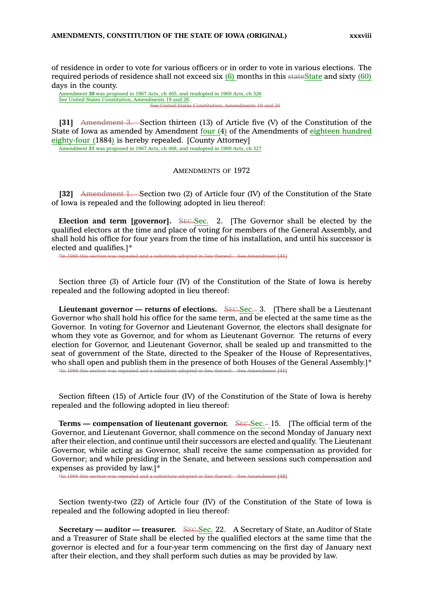of residence in order to vote for various officers or in order to vote in various elections. The required periods of residence shall not exceed six  $(6)$  months in this stateState and sixty  $(60)$ days in the county.

Amendment **30** was proposed in 1967 Acts, ch 465, and readopted in 1969 Acts, ch 326 See United States Constitution, Amendments 19 and 26 See United States Constitution, Amendments 19 and 26

**[31]** Amendment 3. Section thirteen (13) of Article five (V) of the Constitution of the State of Iowa as amended by Amendment four (4) of the Amendments of eighteen hundred eighty-four (1884) is hereby repealed. [County Attorney] Amendment **31** was proposed in 1967 Acts, ch 468, and readopted in 1969 Acts, ch 327

AMENDMENTS OF 1972

**[32]** Amendment 1. Section two (2) of Article four (IV) of the Constitution of the State of Iowa is repealed and the following adopted in lieu thereof:

**Election** and **term** [governor]. SECSEC. 2. [The Governor shall be elected by the qualified electors at the time and place of voting for members of the General Assembly, and shall hold his office for four years from the time of his installation, and until his successor is elected and qualifies.]\*

ee Amendment [41]

Section three (3) of Article four (IV) of the Constitution of the State of Iowa is hereby repealed and the following adopted in lieu thereof:

**Lieutenant governor — returns of elections.** SEC.Sec. 3. [There shall be <sup>a</sup> Lieutenant Governor who shall hold his office for the same term, and be elected at the same time as the Governor. In voting for Governor and Lieutenant Governor, the electors shall designate for whom they vote as Governor, and for whom as Lieutenant Governor. The returns of every election for Governor, and Lieutenant Governor, shall be sealed up and transmitted to the seat of government of the State, directed to the Speaker of the House of Representatives, who shall open and publish them in the presence of both Houses of the General Assembly.]\* ee Amendment [41]

Section fifteen (15) of Article four (IV) of the Constitution of the State of Iowa is hereby repealed and the following adopted in lieu thereof:

**Terms** — **compensation** of **lieutenant governor.** SEC.Sec. -15. [The official term of the Governor, and Lieutenant Governor, shall commence on the second Monday of January next after their election, and continue until their successors are elected and qualify. The Lieutenant Governor, while acting as Governor, shall receive the same compensation as provided for Governor; and while presiding in the Senate, and between sessions such compensation and expenses as provided by law.]\*

\*In 1988 this section was repealed and <sup>a</sup> substitute adopted in lieu thereof: See Amendment **[42]**

Section twenty-two (22) of Article four (IV) of the Constitution of the State of Iowa is repealed and the following adopted in lieu thereof:

**Secretary — auditor — treasurer.** SEC.Sec. 22. A Secretary of State, an Auditor of State and <sup>a</sup> Treasurer of State shall be elected by the qualified electors at the same time that the governor is elected and for <sup>a</sup> four-year term commencing on the first day of January next after their election, and they shall perform such duties as may be provided by law.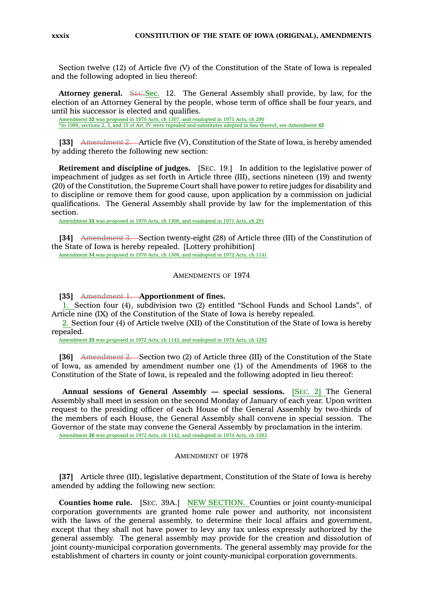Section twelve (12) of Article five (V) of the Constitution of the State of Iowa is repealed and the following adopted in lieu thereof:

**Attorney general.** SEC.Sec. 12. The General Assembly shall provide, by law, for the election of an Attorney General by the people, whose term of office shall be four years, and until his successor is elected and qualifies.

Amendment **32** was proposed in 1970 Acts, ch 1307, and readopted in 1971 Acts, ch 290 \*In 1988, sections 2, 3, and 15 of Art. IV were repealed and substitutes adopted in lieu thereof, see Amendment **42**

**[33]** Amendment 2. Article five (V), Constitution of the State of Iowa, is hereby amended by adding thereto the following new section:

**Retirement and discipline of judges.** [SEC. 19.] In addition to the legislative power of impeachment of judges as set forth in Article three (III), sections nineteen (19) and twenty (20) of the Constitution, the Supreme Court shall have power to retire judges for disability and to discipline or remove them for good cause, upon application by <sup>a</sup> commission on judicial qualifications. The General Assembly shall provide by law for the implementation of this section.

Amendment **33** was proposed in 1970 Acts, ch 1306, and readopted in 1971 Acts, ch 291

**[34]** Amendment 3. Section twenty-eight (28) of Article three (III) of the Constitution of the State of Iowa is hereby repealed. [Lottery prohibition]

Amendment **34** was proposed in 1970 Acts, ch 1308, and readopted in 1972 Acts, ch 1141

# AMENDMENTS OF 1974

**[35]** Amendment 1. **Apportionment of fines.**

1. Section four (4), subdivision two (2) entitled "School Funds and School Lands", of Article nine (IX) of the Constitution of the State of Iowa is hereby repealed.

2. Section four (4) of Article twelve (XII) of the Constitution of the State of Iowa is hereby repealed.

Amendment **35** was proposed in 1972 Acts, ch 1143, and readopted in 1974 Acts, ch 1282

**[36]** Amendment 2. Section two (2) of Article three (III) of the Constitution of the State of Iowa, as amended by amendment number one (1) of the Amendments of 1968 to the Constitution of the State of Iowa, is repealed and the following adopted in lieu thereof:

**Annual sessions of General Assembly — special sessions.** [SEC. 2] The General Assembly shall meet in session on the second Monday of January of each year. Upon written request to the presiding officer of each House of the General Assembly by two-thirds of the members of each House, the General Assembly shall convene in special session. The Governor of the state may convene the General Assembly by proclamation in the interim. Amendment **36** was proposed in 1972 Acts, ch 1142, and readopted in 1974 Acts, ch 1283

### AMENDMENT OF 1978

**[37]** Article three (III), legislative department, Constitution of the State of Iowa is hereby amended by adding the following new section:

**Counties home rule.** [SEC. 39A.] NEW SECTION. Counties or joint county-municipal corporation governments are granted home rule power and authority, not inconsistent with the laws of the general assembly, to determine their local affairs and government, except that they shall not have power to levy any tax unless expressly authorized by the general assembly. The general assembly may provide for the creation and dissolution of joint county-municipal corporation governments. The general assembly may provide for the establishment of charters in county or joint county-municipal corporation governments.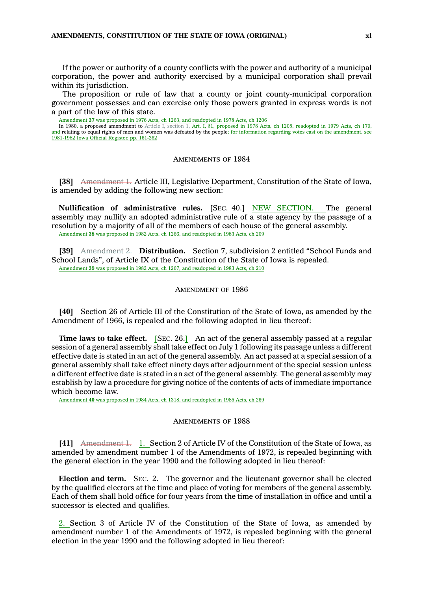If the power or authority of <sup>a</sup> county conflicts with the power and authority of <sup>a</sup> municipal corporation, the power and authority exercised by <sup>a</sup> municipal corporation shall prevail within its jurisdiction.

The proposition or rule of law that <sup>a</sup> county or joint county-municipal corporation government possesses and can exercise only those powers granted in express words is not <sup>a</sup> part of the law of this state.

Amendment 37 was proposed in 1976 Acts, ch 1263, and readopted in 1978 Acts, ch 1206<br>In 1980, a proposed amendment to Article I, section 1, Art. I, §1, proposed in 1978 Act

 $\frac{1}{100}$  and  $\frac{1}{100}$ ,  $\frac{1}{100}$ ,  $\frac{1}{100}$  and  $\frac{1}{100}$  and  $\frac{1}{100}$ , readopted in 1979 Acts, ch 170, and relating to equal rights of men and women was defeated by the people; for information regarding votes cast on the amendment, see 1981-1982 Iowa Official Register, pp. 161-262

### AMENDMENTS OF 1984

**[38]** Amendment 1. Article III, Legislative Department, Constitution of the State of Iowa, is amended by adding the following new section:

**Nullification of administrative rules.** [SEC. 40.] NEW SECTION. The general assembly may nullify an adopted administrative rule of <sup>a</sup> state agency by the passage of <sup>a</sup> resolution by <sup>a</sup> majority of all of the members of each house of the general assembly. Amendment **38** was proposed in 1982 Acts, ch 1266, and readopted in 1983 Acts, ch 209

**[39]** Amendment 2. **Distribution.** Section 7, subdivision 2 entitled "School Funds and School Lands", of Article IX of the Constitution of the State of Iowa is repealed. Amendment **39** was proposed in 1982 Acts, ch 1267, and readopted in 1983 Acts, ch 210

### AMENDMENT OF 1986

**[40]** Section 26 of Article III of the Constitution of the State of Iowa, as amended by the Amendment of 1966, is repealed and the following adopted in lieu thereof:

**Time laws to take effect.** [SEC. 26.] An act of the general assembly passed at <sup>a</sup> regular session of <sup>a</sup> general assembly shall take effect on July 1 following its passage unless <sup>a</sup> different effective date is stated in an act of the general assembly. An act passed at <sup>a</sup> special session of <sup>a</sup> general assembly shall take effect ninety days after adjournment of the special session unless <sup>a</sup> different effective date is stated in an act of the general assembly. The general assembly may establish by law <sup>a</sup> procedure for giving notice of the contents of acts of immediate importance which become law.

Amendment **40** was proposed in 1984 Acts, ch 1318, and readopted in 1985 Acts, ch 269

### AMENDMENTS OF 1988

[41] Amendment 1. 1. Section 2 of Article IV of the Constitution of the State of Iowa, as amended by amendment number 1 of the Amendments of 1972, is repealed beginning with the general election in the year 1990 and the following adopted in lieu thereof:

**Election and term.** SEC. 2. The governor and the lieutenant governor shall be elected by the qualified electors at the time and place of voting for members of the general assembly. Each of them shall hold office for four years from the time of installation in office and until <sup>a</sup> successor is elected and qualifies.

2. Section 3 of Article IV of the Constitution of the State of Iowa, as amended by amendment number 1 of the Amendments of 1972, is repealed beginning with the general election in the year 1990 and the following adopted in lieu thereof: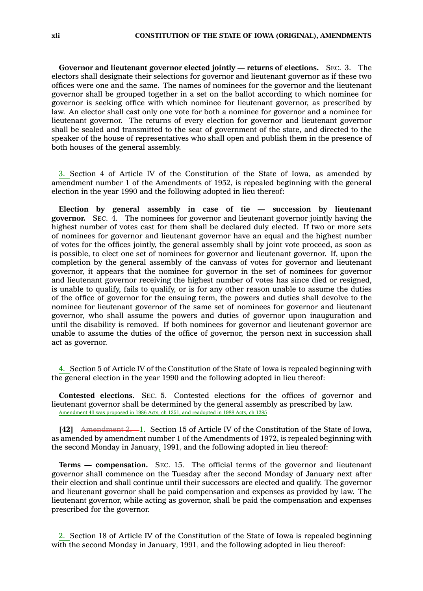**Governor and lieutenant governor elected jointly — returns of elections.** SEC. 3. The electors shall designate their selections for governor and lieutenant governor as if these two offices were one and the same. The names of nominees for the governor and the lieutenant governor shall be grouped together in <sup>a</sup> set on the ballot according to which nominee for governor is seeking office with which nominee for lieutenant governor, as prescribed by law. An elector shall cast only one vote for both <sup>a</sup> nominee for governor and <sup>a</sup> nominee for lieutenant governor. The returns of every election for governor and lieutenant governor shall be sealed and transmitted to the seat of government of the state, and directed to the speaker of the house of representatives who shall open and publish them in the presence of both houses of the general assembly.

3. Section 4 of Article IV of the Constitution of the State of Iowa, as amended by amendment number 1 of the Amendments of 1952, is repealed beginning with the general election in the year 1990 and the following adopted in lieu thereof:

**Election by general assembly in case of tie — succession by lieutenant governor.** SEC. 4. The nominees for governor and lieutenant governor jointly having the highest number of votes cast for them shall be declared duly elected. If two or more sets of nominees for governor and lieutenant governor have an equal and the highest number of votes for the offices jointly, the general assembly shall by joint vote proceed, as soon as is possible, to elect one set of nominees for governor and lieutenant governor. If, upon the completion by the general assembly of the canvass of votes for governor and lieutenant governor, it appears that the nominee for governor in the set of nominees for governor and lieutenant governor receiving the highest number of votes has since died or resigned, is unable to qualify, fails to qualify, or is for any other reason unable to assume the duties of the office of governor for the ensuing term, the powers and duties shall devolve to the nominee for lieutenant governor of the same set of nominees for governor and lieutenant governor, who shall assume the powers and duties of governor upon inauguration and until the disability is removed. If both nominees for governor and lieutenant governor are unable to assume the duties of the office of governor, the person next in succession shall act as governor.

4. Section 5 of Article IV of the Constitution of the State of Iowa is repealed beginning with the general election in the year 1990 and the following adopted in lieu thereof:

**Contested elections.** SEC. 5. Contested elections for the offices of governor and lieutenant governor shall be determined by the general assembly as prescribed by law. Amendment **41** was proposed in 1986 Acts, ch 1251, and readopted in 1988 Acts, ch 1285

**[42]** Amendment 2. 1. Section 15 of Article IV of the Constitution of the State of Iowa, as amended by amendment number 1 of the Amendments of 1972, is repealed beginning with the second Monday in January,  $1991$ , and the following adopted in lieu thereof:

**Terms — compensation.** SEC. 15. The official terms of the governor and lieutenant governor shall commence on the Tuesday after the second Monday of January next after their election and shall continue until their successors are elected and qualify. The governor and lieutenant governor shall be paid compensation and expenses as provided by law. The lieutenant governor, while acting as governor, shall be paid the compensation and expenses prescribed for the governor.

2. Section 18 of Article IV of the Constitution of the State of Iowa is repealed beginning with the second Monday in January,  $1991<sub>7</sub>$  and the following adopted in lieu thereof: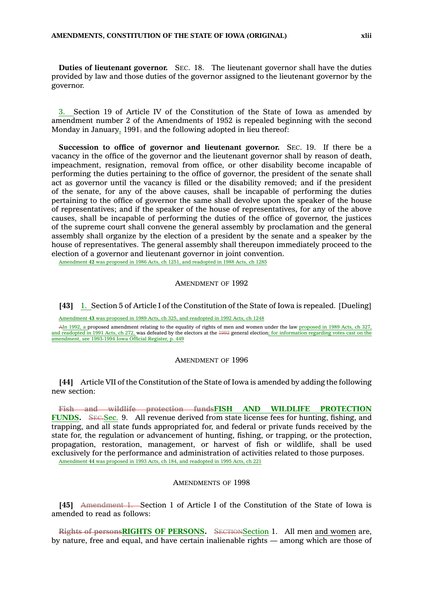**Duties of lieutenant governor.** SEC. 18. The lieutenant governor shall have the duties provided by law and those duties of the governor assigned to the lieutenant governor by the governor.

3. Section 19 of Article IV of the Constitution of the State of Iowa as amended by amendment number 2 of the Amendments of 1952 is repealed beginning with the second Monday in January,  $1991$ , and the following adopted in lieu thereof:

**Succession to office of governor and lieutenant governor.** SEC. 19. If there be <sup>a</sup> vacancy in the office of the governor and the lieutenant governor shall by reason of death, impeachment, resignation, removal from office, or other disability become incapable of performing the duties pertaining to the office of governor, the president of the senate shall act as governor until the vacancy is filled or the disability removed; and if the president of the senate, for any of the above causes, shall be incapable of performing the duties pertaining to the office of governor the same shall devolve upon the speaker of the house of representatives; and if the speaker of the house of representatives, for any of the above causes, shall be incapable of performing the duties of the office of governor, the justices of the supreme court shall convene the general assembly by proclamation and the general assembly shall organize by the election of <sup>a</sup> president by the senate and <sup>a</sup> speaker by the house of representatives. The general assembly shall thereupon immediately proceed to the election of <sup>a</sup> governor and lieutenant governor in joint convention.

Amendment **42** was proposed in 1986 Acts, ch 1251, and readopted in 1988 Acts, ch 1285

#### AMENDMENT OF 1992

**[43]** 1. Section 5 of Article I of the Constitution of the State of Iowa is repealed. [Dueling]

Amendment **43** was proposed in 1989 Acts, ch 325, and readopted in 1992 Acts, ch 1248

AIn 1992, <sup>a</sup> proposed amendment relating to the equality of rights of men and women under the law proposed in 1989 Acts, ch 327, and readopted in 1991 Acts, ch 272, was defeated by the electors at the 1992 general election; for information regarding votes cast on the amendment, see 1993-1994 Iowa Official Register, p. 449

#### AMENDMENT OF 1996

**[44]** Article VII of the Constitution of the State of Iowa is amended by adding the following new section:

**Fish and wildlife protection fundsFISH AND WILDLIFE PROTECTION** FUNDS. SEC.Sec. 9. All revenue derived from state license fees for hunting, fishing, and trapping, and all state funds appropriated for, and federal or private funds received by the state for, the regulation or advancement of hunting, fishing, or trapping, or the protection, propagation, restoration, management, or harvest of fish or wildlife, shall be used exclusively for the performance and administration of activities related to those purposes. Amendment **44** was proposed in 1993 Acts, ch 184, and readopted in 1995 Acts, ch 221

### AMENDMENTS OF 1998

**[45]** Amendment 1. Section 1 of Article I of the Constitution of the State of Iowa is amended to read as follows:

**Rights of personsRIGHTS OF PERSONS.** SECTIONSection 1. All men and women are, by nature, free and equal, and have certain inalienable rights — among which are those of